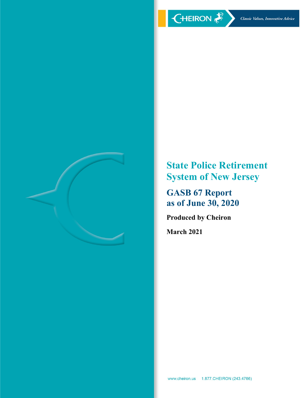

**State Police Retirement System of New Jersey** 

**GASB 67 Report as of June 30, 2020** 

**Produced by Cheiron** 

**March 2021**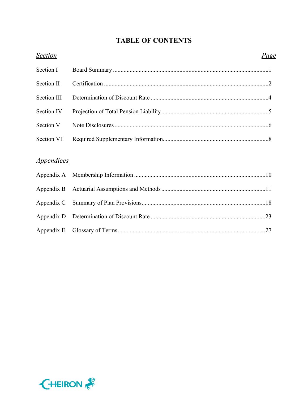# **TABLE OF CONTENTS**

| <b>Section</b>                  | <u>Page</u> |
|---------------------------------|-------------|
| Section I                       |             |
| Section II                      |             |
| Section III                     |             |
| Section IV                      |             |
| Section V                       |             |
| Section VI                      |             |
|                                 |             |
| <i><u><b>Appendices</b></u></i> |             |
| Appendix A                      |             |
| Appendix B                      |             |
| Appendix C                      |             |
| Appendix D                      |             |
| Appendix E                      |             |

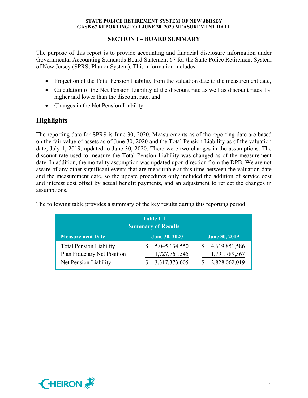## **SECTION I – BOARD SUMMARY**

The purpose of this report is to provide accounting and financial disclosure information under Governmental Accounting Standards Board Statement 67 for the State Police Retirement System of New Jersey (SPRS, Plan or System). This information includes:

- Projection of the Total Pension Liability from the valuation date to the measurement date,
- Calculation of the Net Pension Liability at the discount rate as well as discount rates 1% higher and lower than the discount rate, and
- Changes in the Net Pension Liability.

# **Highlights**

The reporting date for SPRS is June 30, 2020. Measurements as of the reporting date are based on the fair value of assets as of June 30, 2020 and the Total Pension Liability as of the valuation date, July 1, 2019, updated to June 30, 2020. There were two changes in the assumptions. The discount rate used to measure the Total Pension Liability was changed as of the measurement date. In addition, the mortality assumption was updated upon direction from the DPB. We are not aware of any other significant events that are measurable at this time between the valuation date and the measurement date, so the update procedures only included the addition of service cost and interest cost offset by actual benefit payments, and an adjustment to reflect the changes in assumptions.

| Table I-1<br><b>Summary of Results</b>                        |  |                                |  |                                |  |  |
|---------------------------------------------------------------|--|--------------------------------|--|--------------------------------|--|--|
| <b>Measurement Date</b>                                       |  | <b>June 30, 2020</b>           |  | <b>June 30, 2019</b>           |  |  |
| <b>Total Pension Liability</b><br>Plan Fiduciary Net Position |  | 5,045,134,550<br>1,727,761,545 |  | 4,619,851,586<br>1,791,789,567 |  |  |
| Net Pension Liability                                         |  | 3,317,373,005                  |  | 2,828,062,019                  |  |  |

The following table provides a summary of the key results during this reporting period.

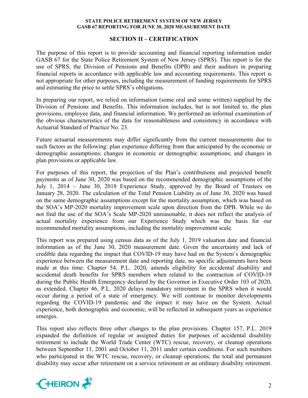### **SECTION II – CERTIFICATION**

The purpose of this report is to provide accounting and financial reporting information under GASB 67 for the State Police Retirement System of New Jersey (SPRS). This report is for the use of SPRS, the Division of Pensions and Benefits (DPB) and their auditors in preparing financial reports in accordance with applicable law and accounting requirements. This report is not appropriate for other purposes, including the measurement of funding requirements for SPRS and estimating the price to settle SPRS's obligations.

In preparing our report, we relied on information (some oral and some written) supplied by the Division of Pensions and Benefits. This information includes, but is not limited to, the plan provisions, employee data, and financial information. We performed an informal examination of the obvious characteristics of the data for reasonableness and consistency in accordance with Actuarial Standard of Practice No. 23.

Future actuarial measurements may differ significantly from the current measurements due to such factors as the following: plan experience differing from that anticipated by the economic or demographic assumptions; changes in economic or demographic assumptions; and changes in plan provisions or applicable law.

For purposes of this report, the projection of the Plan's contributions and projected benefit payments as of June 30, 2020 was based on the recommended demographic assumptions of the July 1, 2014 – June 30, 2018 Experience Study, approved by the Board of Trustees on January 28, 2020. The calculation of the Total Pension Liability as of June 30, 2020 was based on the same demographic assumptions except for the mortality assumption, which was based on the SOA's MP-2020 mortality improvement scale upon direction from the DPB. While we do not find the use of the SOA's Scale MP-2020 unreasonable, it does not reflect the analysis of actual mortality experience from our Experience Study which was the basis for our recommended mortality assumptions, including the mortality improvement scale.

This report was prepared using census data as of the July 1, 2019 valuation date and financial information as of the June 30, 2020 measurement date. Given the uncertainty and lack of credible data regarding the impact that COVID-19 may have had on the System's demographic experience between the measurement date and reporting date, no specific adjustments have been made at this time. Chapter 54, P.L. 2020, amends eligibility for accidental disability and accidental death benefits for SPRS members when related to the contraction of COVID-19 during the Public Health Emergency declared by the Governor in Executive Order 103 of 2020, as extended. Chapter 46, P.L. 2020 delays mandatory retirement in the SPRS when it would occur during a period of a state of emergency. We will continue to monitor developments regarding the COVID-19 pandemic and the impact it may have on the System. Actual experience, both demographic and economic, will be reflected in subsequent years as experience emerges.

This report also reflects three other changes to the plan provisions. Chapter 157, P.L. 2019 expanded the definition of regular or assigned duties for purposes of accidental disability retirement to include the World Trade Center (WTC) rescue, recovery, or cleanup operations between September 11, 2001 and October 11, 2011 under certain conditions. For such members who participated in the WTC rescue, recovery, or cleanup operations, the total and permanent disability may occur after retirement on a service retirement or an ordinary disability retirement.

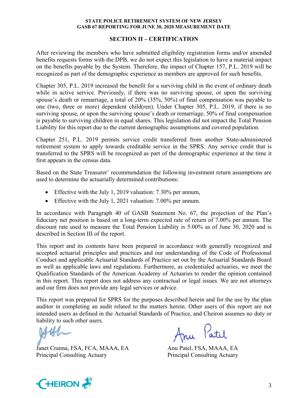#### **SECTION II – CERTIFICATION**

After reviewing the members who have submitted eligibility registration forms and/or amended benefits requests forms with the DPB, we do not expect this legislation to have a material impact on the benefits payable by the System. Therefore, the impact of Chapter 157, P.L. 2019 will be recognized as part of the demographic experience as members are approved for such benefits.

Chapter 305, P.L. 2019 increased the benefit for a surviving child in the event of ordinary death while in active service. Previously, if there was no surviving spouse, or upon the surviving spouse's death or remarriage, a total of 20% (35%, 50%) of final compensation was payable to one (two, three or more) dependent child(ren). Under Chapter 305, P.L. 2019, if there is no surviving spouse, or upon the surviving spouse's death or remarriage, 50% of final compensation is payable to surviving children in equal shares. This legislation did not impact the Total Pension Liability for this report due to the current demographic assumptions and covered population.

Chapter 251, P.L. 2019 permits service credit transferred from another State-administered retirement system to apply towards creditable service in the SPRS. Any service credit that is transferred to the SPRS will be recognized as part of the demographic experience at the time it first appears in the census data.

Based on the State Treasurer' recommendation the following investment return assumptions are used to determine the actuarially determined contributions:

- Effective with the July 1, 2019 valuation: 7.30% per annum,
- Effective with the July 1, 2021 valuation: 7.00% per annum.

In accordance with Paragraph 40 of GASB Statement No. 67, the projection of the Plan's fiduciary net position is based on a long-term expected rate of return of 7.00% per annum. The discount rate used to measure the Total Pension Liability is 5.00% as of June 30, 2020 and is described in Section III of the report.

This report and its contents have been prepared in accordance with generally recognized and accepted actuarial principles and practices and our understanding of the Code of Professional Conduct and applicable Actuarial Standards of Practice set out by the Actuarial Standards Board as well as applicable laws and regulations. Furthermore, as credentialed actuaries, we meet the Qualification Standards of the American Academy of Actuaries to render the opinion contained in this report. This report does not address any contractual or legal issues. We are not attorneys and our firm does not provide any legal services or advice.

This report was prepared for SPRS for the purposes described herein and for the use by the plan auditor in completing an audit related to the matters herein. Other users of this report are not intended users as defined in the Actuarial Standards of Practice, and Cheiron assumes no duty or liability to such other users.

Janet Cranna, FSA, FCA, MAAA, EA Anu Patel, FSA, MAAA, EA Principal Consulting Actuary Principal Consulting Actuary

Anu Patil

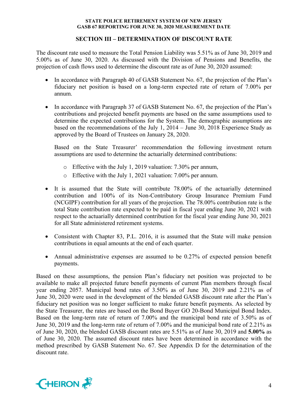## **SECTION III – DETERMINATION OF DISCOUNT RATE**

The discount rate used to measure the Total Pension Liability was 5.51% as of June 30, 2019 and 5.00% as of June 30, 2020. As discussed with the Division of Pensions and Benefits, the projection of cash flows used to determine the discount rate as of June 30, 2020 assumed:

- In accordance with Paragraph 40 of GASB Statement No. 67, the projection of the Plan's fiduciary net position is based on a long-term expected rate of return of 7.00% per annum.
- In accordance with Paragraph 37 of GASB Statement No. 67, the projection of the Plan's contributions and projected benefit payments are based on the same assumptions used to determine the expected contributions for the System. The demographic assumptions are based on the recommendations of the July 1, 2014 – June 30, 2018 Experience Study as approved by the Board of Trustees on January 28, 2020.

Based on the State Treasurer' recommendation the following investment return assumptions are used to determine the actuarially determined contributions:

- o Effective with the July 1, 2019 valuation: 7.30% per annum,
- o Effective with the July 1, 2021 valuation: 7.00% per annum.
- It is assumed that the State will contribute 78.00% of the actuarially determined contribution and 100% of its Non-Contributory Group Insurance Premium Fund (NCGIPF) contribution for all years of the projection. The 78.00% contribution rate is the total State contribution rate expected to be paid in fiscal year ending June 30, 2021 with respect to the actuarially determined contribution for the fiscal year ending June 30, 2021 for all State administered retirement systems.
- Consistent with Chapter 83, P.L. 2016, it is assumed that the State will make pension contributions in equal amounts at the end of each quarter.
- Annual administrative expenses are assumed to be 0.27% of expected pension benefit payments.

Based on these assumptions, the pension Plan's fiduciary net position was projected to be available to make all projected future benefit payments of current Plan members through fiscal year ending 2057. Municipal bond rates of 3.50% as of June 30, 2019 and 2.21% as of June 30, 2020 were used in the development of the blended GASB discount rate after the Plan's fiduciary net position was no longer sufficient to make future benefit payments. As selected by the State Treasurer, the rates are based on the Bond Buyer GO 20-Bond Municipal Bond Index. Based on the long-term rate of return of 7.00% and the municipal bond rate of 3.50% as of June 30, 2019 and the long-term rate of return of 7.00% and the municipal bond rate of 2.21% as of June 30, 2020, the blended GASB discount rates are 5.51% as of June 30, 2019 and **5.00%** as of June 30, 2020. The assumed discount rates have been determined in accordance with the method prescribed by GASB Statement No. 67. See Appendix D for the determination of the discount rate.

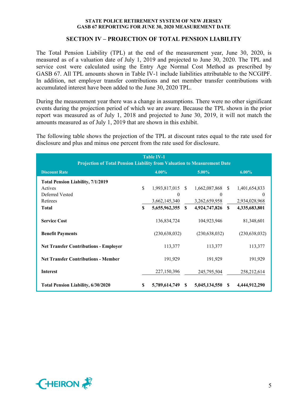## **SECTION IV – PROJECTION OF TOTAL PENSION LIABILITY**

The Total Pension Liability (TPL) at the end of the measurement year, June 30, 2020, is measured as of a valuation date of July 1, 2019 and projected to June 30, 2020. The TPL and service cost were calculated using the Entry Age Normal Cost Method as prescribed by GASB 67. All TPL amounts shown in Table IV-1 include liabilities attributable to the NCGIPF. In addition, net employer transfer contributions and net member transfer contributions with accumulated interest have been added to the June 30, 2020 TPL.

During the measurement year there was a change in assumptions. There were no other significant events during the projection period of which we are aware. Because the TPL shown in the prior report was measured as of July 1, 2018 and projected to June 30, 2019, it will not match the amounts measured as of July 1, 2019 that are shown in this exhibit.

The following table shows the projection of the TPL at discount rates equal to the rate used for disclosure and plus and minus one percent from the rate used for disclosure.

| <b>Table IV-1</b><br><b>Projection of Total Pension Liability from Valuation to Measurement Date</b> |             |                  |              |                  |              |                 |
|------------------------------------------------------------------------------------------------------|-------------|------------------|--------------|------------------|--------------|-----------------|
| <b>Discount Rate</b>                                                                                 |             | $4.00\%$         |              | $5.00\%$         |              | $6.00\%$        |
| <b>Total Pension Liability, 7/1/2019</b>                                                             |             |                  |              |                  |              |                 |
| Actives                                                                                              | \$          | 1,993,817,015 \$ |              | 1,662,087,868 \$ |              | 1,401,654,833   |
| Deferred Vested                                                                                      |             | 0                |              | $\Omega$         |              |                 |
| Retirees                                                                                             |             | 3,662,145,340    |              | 3,262,659,958    |              | 2,934,028,968   |
| <b>Total</b>                                                                                         | $\mathbf S$ | 5,655,962,355    | <sup>S</sup> | 4,924,747,826    | $\mathbf{s}$ | 4,335,683,801   |
| <b>Service Cost</b>                                                                                  |             | 136,834,724      |              | 104,923,946      |              | 81,348,601      |
| <b>Benefit Payments</b>                                                                              |             | (230, 638, 032)  |              | (230, 638, 032)  |              | (230, 638, 032) |
| <b>Net Transfer Contributions - Employer</b>                                                         |             | 113,377          |              | 113,377          |              | 113,377         |
| <b>Net Transfer Contributions - Member</b>                                                           |             | 191,929          |              | 191,929          |              | 191,929         |
| <b>Interest</b>                                                                                      |             | 227,150,396      |              | 245,795,504      |              | 258, 212, 614   |
| <b>Total Pension Liability, 6/30/2020</b>                                                            | S           | 5,789,614,749    | S.           | 5,045,134,550    | -S           | 4,444,912,290   |

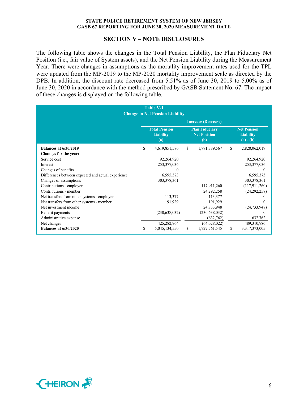#### **SECTION V – NOTE DISCLOSURES**

The following table shows the changes in the Total Pension Liability, the Plan Fiduciary Net Position (i.e., fair value of System assets), and the Net Pension Liability during the Measurement Year. There were changes in assumptions as the mortality improvement rates used for the TPL were updated from the MP-2019 to the MP-2020 mortality improvement scale as directed by the DPB. In addition, the discount rate decreased from 5.51% as of June 30, 2019 to 5.00% as of June 30, 2020 in accordance with the method prescribed by GASB Statement No. 67. The impact of these changes is displayed on the following table.

| <b>Table V-1</b><br><b>Change in Net Pension Liability</b> |    |                                                 |    |                                                     |                                                       |
|------------------------------------------------------------|----|-------------------------------------------------|----|-----------------------------------------------------|-------------------------------------------------------|
|                                                            |    |                                                 |    | <b>Increase (Decrease)</b>                          |                                                       |
|                                                            |    | <b>Total Pension</b><br><b>Liability</b><br>(a) |    | <b>Plan Fiduciary</b><br><b>Net Position</b><br>(b) | <b>Net Pension</b><br><b>Liability</b><br>$(a) - (b)$ |
| <b>Balances at 6/30/2019</b>                               | \$ | 4,619,851,586                                   | S. | 1,791,789,567                                       | \$<br>2,828,062,019                                   |
| Changes for the year:                                      |    |                                                 |    |                                                     |                                                       |
| Service cost                                               |    | 92,264,920                                      |    |                                                     | 92,264,920                                            |
| Interest                                                   |    | 253,377,036                                     |    |                                                     | 253,377,036                                           |
| Changes of benefits                                        |    |                                                 |    |                                                     | $\theta$                                              |
| Differences between expected and actual experience         |    | 6,595,373                                       |    |                                                     | 6,595,373                                             |
| Changes of assumptions                                     |    | 303,378,361                                     |    |                                                     | 303,378,361                                           |
| Contributions - employer                                   |    |                                                 |    | 117,911,260                                         | (117,911,260)                                         |
| Contributions - member                                     |    |                                                 |    | 24, 292, 258                                        | (24,292,258)                                          |
| Net transfers from other systems - employer                |    | 113,377                                         |    | 113,377                                             |                                                       |
| Net transfers from other systems - member                  |    | 191,929                                         |    | 191,929                                             |                                                       |
| Net investment income                                      |    |                                                 |    | 24,733,948                                          | (24, 733, 948)                                        |
| Benefit payments                                           |    | (230, 638, 032)                                 |    | (230, 638, 032)                                     |                                                       |
| Administrative expense                                     |    |                                                 |    | (632,762)                                           | 632,762                                               |
| Net changes                                                |    | 425,282,964                                     |    | (64,028,022)                                        | 489,310,986                                           |
| <b>Balances at 6/30/2020</b>                               |    | 5,045,134,550                                   |    | 1,727,761,545                                       | 3,317,373,005                                         |

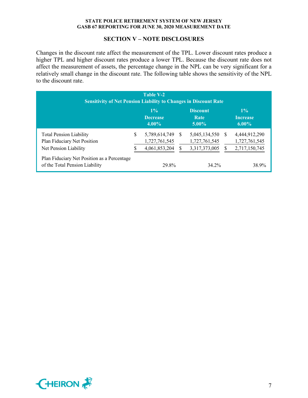## **SECTION V – NOTE DISCLOSURES**

Changes in the discount rate affect the measurement of the TPL. Lower discount rates produce a higher TPL and higher discount rates produce a lower TPL. Because the discount rate does not affect the measurement of assets, the percentage change in the NPL can be very significant for a relatively small change in the discount rate. The following table shows the sensitivity of the NPL to the discount rate.

| <b>Table V-2</b><br><b>Sensitivity of Net Pension Liability to Changes in Discount Rate</b> |   |                                                 |              |                                                 |    |                                                 |
|---------------------------------------------------------------------------------------------|---|-------------------------------------------------|--------------|-------------------------------------------------|----|-------------------------------------------------|
|                                                                                             |   | $1\%$<br><b>Decrease</b><br>$4.00\%$            |              | <b>Discount</b><br>Rate<br>$5.00\%$             |    | $1\%$<br><b>Increase</b><br>$6.00\%$            |
| <b>Total Pension Liability</b><br>Plan Fiduciary Net Position<br>Net Pension Liability      | S | 5,789,614,749<br>1,727,761,545<br>4,061,853,204 | <sup>S</sup> | 5,045,134,550<br>1,727,761,545<br>3,317,373,005 | -S | 4,444,912,290<br>1,727,761,545<br>2,717,150,745 |
| Plan Fiduciary Net Position as a Percentage<br>of the Total Pension Liability               |   | 29.8%                                           |              | 34.2%                                           |    | 38.9%                                           |

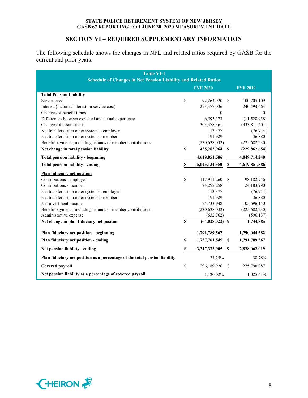## **SECTION VI – REQUIRED SUPPLEMENTARY INFORMATION**

The following schedule shows the changes in NPL and related ratios required by GASB for the current and prior years.

| <b>Table VI-1</b><br><b>Schedule of Changes in Net Pension Liability and Related Ratios</b> |              |                   |                           |                 |  |
|---------------------------------------------------------------------------------------------|--------------|-------------------|---------------------------|-----------------|--|
|                                                                                             |              | <b>FYE 2020</b>   |                           | <b>FYE 2019</b> |  |
| <b>Total Pension Liability</b>                                                              |              |                   |                           |                 |  |
| Service cost                                                                                | \$           | 92,264,920        | \$.                       | 100,705,109     |  |
| Interest (includes interest on service cost)                                                |              | 253,377,036       |                           | 240,494,663     |  |
| Changes of benefit terms                                                                    |              | $\Omega$          |                           | $\Omega$        |  |
| Differences between expected and actual experience                                          |              | 6,595,373         |                           | (11,528,958)    |  |
| Changes of assumptions                                                                      |              | 303,378,361       |                           | (333, 811, 404) |  |
| Net transfers from other systems - employer                                                 |              | 113,377           |                           | (76, 714)       |  |
| Net transfers from other systems - member                                                   |              | 191,929           |                           | 36,880          |  |
| Benefit payments, including refunds of member contributions                                 |              | (230, 638, 032)   |                           | (225, 682, 230) |  |
| Net change in total pension liability                                                       | \$           | 425,282,964 \$    |                           | (229, 862, 654) |  |
| <b>Total pension liability - beginning</b>                                                  |              | 4,619,851,586     |                           | 4,849,714,240   |  |
| <b>Total pension liability - ending</b>                                                     | \$           | 5,045,134,550     | $\boldsymbol{\mathsf{S}}$ | 4,619,851,586   |  |
| <b>Plan fiduciary net position</b>                                                          |              |                   |                           |                 |  |
| Contributions - employer                                                                    | \$           | 117,911,260       | <sup>\$</sup>             | 98,182,956      |  |
| Contributions - member                                                                      |              | 24,292,258        |                           | 24,183,990      |  |
| Net transfers from other systems - employer                                                 |              | 113,377           |                           | (76, 714)       |  |
| Net transfers from other systems - member                                                   |              | 191,929           |                           | 36,880          |  |
| Net investment income                                                                       |              | 24,733,948        |                           | 105,696,140     |  |
| Benefit payments, including refunds of member contributions                                 |              | (230, 638, 032)   |                           | (225, 682, 230) |  |
| Administrative expense                                                                      |              | (632,762)         |                           | (596, 137)      |  |
| Net change in plan fiduciary net position                                                   | $\mathbf{s}$ | $(64,028,022)$ \$ |                           | 1,744,885       |  |
| Plan fiduciary net position - beginning                                                     |              | 1,791,789,567     |                           | 1,790,044,682   |  |
| Plan fiduciary net position - ending                                                        | \$           | 1,727,761,545     | \$                        | 1,791,789,567   |  |
| Net pension liability - ending                                                              | \$           | 3,317,373,005     | \$                        | 2,828,062,019   |  |
| Plan fiduciary net position as a percentage of the total pension liability                  |              | 34.25%            |                           | 38.78%          |  |
| Covered payroll                                                                             | \$           | 296,189,926       | \$                        | 275,790,087     |  |
|                                                                                             |              |                   |                           |                 |  |
| Net pension liability as a percentage of covered payroll                                    |              | 1,120.02%         |                           | 1,025.44%       |  |

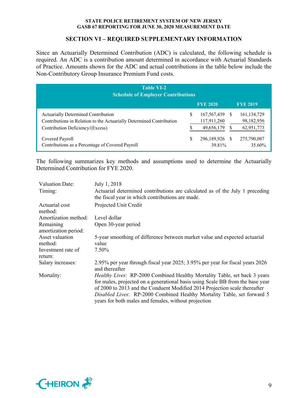## **SECTION VI – REQUIRED SUPPLEMENTARY INFORMATION**

Since an Actuarially Determined Contribution (ADC) is calculated, the following schedule is required. An ADC is a contribution amount determined in accordance with Actuarial Standards of Practice. Amounts shown for the ADC and actual contributions in the table below include the Non-Contributory Group Insurance Premium Fund costs.

| <b>Table VI-2</b><br><b>Schedule of Employer Contributions</b>                                                                                  |   |                                            |    |                                           |  |
|-------------------------------------------------------------------------------------------------------------------------------------------------|---|--------------------------------------------|----|-------------------------------------------|--|
|                                                                                                                                                 |   | <b>FYE 2020</b>                            |    | <b>FYE 2019</b>                           |  |
| Actuarially Determined Contribution<br>Contributions in Relation to the Actuarially Determined Contribution<br>Contribution Deficiency/(Excess) | S | 167, 567, 439<br>117,911,260<br>49,656,179 | -S | 161, 134, 729<br>98,182,956<br>62,951,773 |  |
| Covered Payroll<br>Contributions as a Percentage of Covered Payroll                                                                             |   | 296,189,926 \$<br>39.81%                   |    | 275,790,087<br>35.60%                     |  |

The following summarizes key methods and assumptions used to determine the Actuarially Determined Contribution for FYE 2020.

| Valuation Date:                   | July 1, 2018                                                                                                                                                                                                                                                                                                                                                                 |
|-----------------------------------|------------------------------------------------------------------------------------------------------------------------------------------------------------------------------------------------------------------------------------------------------------------------------------------------------------------------------------------------------------------------------|
| Timing:                           | Actuarial determined contributions are calculated as of the July 1 preceding<br>the fiscal year in which contributions are made.                                                                                                                                                                                                                                             |
| Actuarial cost<br>method:         | Projected Unit Credit                                                                                                                                                                                                                                                                                                                                                        |
| Amortization method:              | Level dollar                                                                                                                                                                                                                                                                                                                                                                 |
| Remaining<br>amortization period: | Open 30-year period                                                                                                                                                                                                                                                                                                                                                          |
| Asset valuation                   | 5-year smoothing of difference between market value and expected actuarial                                                                                                                                                                                                                                                                                                   |
| method:                           | value                                                                                                                                                                                                                                                                                                                                                                        |
| Investment rate of<br>return:     | 7.50%                                                                                                                                                                                                                                                                                                                                                                        |
| Salary increases:                 | 2.95% per year through fiscal year 2025; 3.95% per year for fiscal years 2026<br>and thereafter                                                                                                                                                                                                                                                                              |
| Mortality:                        | Healthy Lives: RP-2000 Combined Healthy Mortality Table, set back 3 years<br>for males, projected on a generational basis using Scale BB from the base year<br>of 2000 to 2013 and the Conduent Modified 2014 Projection scale thereafter<br>Disabled Lives: RP-2000 Combined Healthy Mortality Table, set forward 5<br>years for both males and females, without projection |

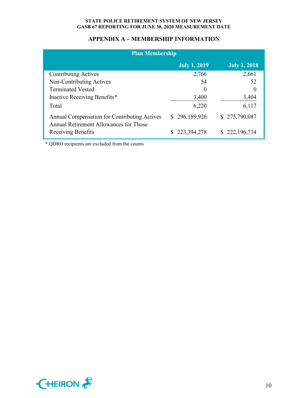# **APPENDIX A – MEMBERSHIP INFORMATION**

| <b>Plan Membership</b>                                                                 |                     |                     |  |  |  |  |
|----------------------------------------------------------------------------------------|---------------------|---------------------|--|--|--|--|
|                                                                                        | <b>July 1, 2019</b> | <b>July 1, 2018</b> |  |  |  |  |
| <b>Contributing Actives</b>                                                            | 2,766               | 2,661               |  |  |  |  |
| Non-Contributing Actives                                                               | 54                  | 52                  |  |  |  |  |
| <b>Terminated Vested</b>                                                               | $\theta$            | $\Omega$            |  |  |  |  |
| Inactive Receiving Benefits*                                                           | 3,400               | 3,404               |  |  |  |  |
| Total                                                                                  | 6,220               | 6,117               |  |  |  |  |
| Annual Compensation for Contributing Actives<br>Annual Retirement Allowances for Those | \$296,189,926       | \$275,790,087       |  |  |  |  |
| Receiving Benefits                                                                     | 223,394,278         | \$222,196,734       |  |  |  |  |

\* QDRO recipients are excluded from the counts

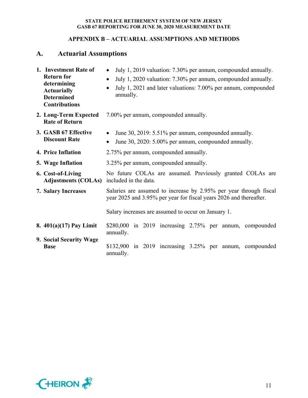# **APPENDIX B – ACTUARIAL ASSUMPTIONS AND METHODS**

# **A. Actuarial Assumptions**

| 1. Investment Rate of<br><b>Return for</b><br>determining<br><b>Actuarially</b><br><b>Determined</b><br><b>Contributions</b> | July 1, 2019 valuation: 7.30% per annum, compounded annually.<br>$\bullet$<br>July 1, 2020 valuation: 7.30% per annum, compounded annually.<br>$\bullet$<br>July 1, 2021 and later valuations: 7.00% per annum, compounded<br>$\bullet$<br>annually. |  |  |  |  |  |  |
|------------------------------------------------------------------------------------------------------------------------------|------------------------------------------------------------------------------------------------------------------------------------------------------------------------------------------------------------------------------------------------------|--|--|--|--|--|--|
| 2. Long-Term Expected<br><b>Rate of Return</b>                                                                               | 7.00% per annum, compounded annually.                                                                                                                                                                                                                |  |  |  |  |  |  |
| 3. GASB 67 Effective<br><b>Discount Rate</b>                                                                                 | June 30, 2019: 5.51% per annum, compounded annually.<br>June 30, 2020: 5.00% per annum, compounded annually.<br>$\bullet$                                                                                                                            |  |  |  |  |  |  |
| 4. Price Inflation                                                                                                           | 2.75% per annum, compounded annually.                                                                                                                                                                                                                |  |  |  |  |  |  |
| 5. Wage Inflation                                                                                                            | 3.25% per annum, compounded annually.                                                                                                                                                                                                                |  |  |  |  |  |  |
| 6. Cost-of-Living<br><b>Adjustments (COLAs)</b>                                                                              | No future COLAs are assumed. Previously granted COLAs are<br>included in the data.                                                                                                                                                                   |  |  |  |  |  |  |
| 7. Salary Increases                                                                                                          | Salaries are assumed to increase by 2.95% per year through fiscal<br>year 2025 and 3.95% per year for fiscal years 2026 and thereafter.                                                                                                              |  |  |  |  |  |  |
|                                                                                                                              | Salary increases are assumed to occur on January 1.                                                                                                                                                                                                  |  |  |  |  |  |  |
| 8. $401(a)(17)$ Pay Limit                                                                                                    | \$280,000 in 2019 increasing 2.75% per annum, compounded<br>annually.                                                                                                                                                                                |  |  |  |  |  |  |
| 9. Social Security Wage<br><b>Base</b>                                                                                       | $$132,900$ in 2019 increasing $3.25\%$ per annum, compounded<br>annually.                                                                                                                                                                            |  |  |  |  |  |  |

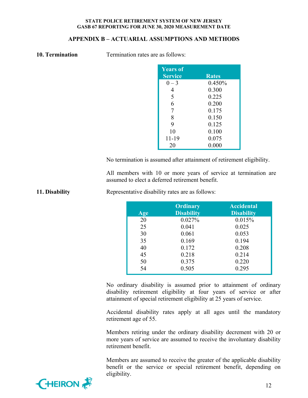## **APPENDIX B – ACTUARIAL ASSUMPTIONS AND METHODS**

| 10. Termination |  |
|-----------------|--|
|                 |  |

**Termination rates are as follows:** 

| <b>Years of</b><br><b>Service</b> | <b>Rates</b> |
|-----------------------------------|--------------|
| $0 - 3$                           | 0.450%       |
| 4                                 | 0.300        |
| 5                                 | 0.225        |
| 6                                 | 0.200        |
| 7                                 | 0.175        |
| 8                                 | 0.150        |
| 9                                 | 0.125        |
| 10                                | 0.100        |
| 11-19                             | 0.075        |
| 20                                | 0.000        |

No termination is assumed after attainment of retirement eligibility.

All members with 10 or more years of service at termination are assumed to elect a deferred retirement benefit.

| Age | <b>Ordinary</b><br><b>Disability</b> | <b>Accidental</b><br><b>Disability</b> |
|-----|--------------------------------------|----------------------------------------|
| 20  | 0.027%                               | 0.015%                                 |
| 25  | 0.041                                | 0.025                                  |
| 30  | 0.061                                | 0.053                                  |
| 35  | 0.169                                | 0.194                                  |
| 40  | 0.172                                | 0.208                                  |
| 45  | 0.218                                | 0.214                                  |
| 50  | 0.375                                | 0.220                                  |
| 54  | 0.505                                | 0.295                                  |

**11. Disability Representative disability rates are as follows:** 

No ordinary disability is assumed prior to attainment of ordinary disability retirement eligibility at four years of service or after attainment of special retirement eligibility at 25 years of service.

Accidental disability rates apply at all ages until the mandatory retirement age of 55.

Members retiring under the ordinary disability decrement with 20 or more years of service are assumed to receive the involuntary disability retirement benefit.

Members are assumed to receive the greater of the applicable disability benefit or the service or special retirement benefit, depending on eligibility.

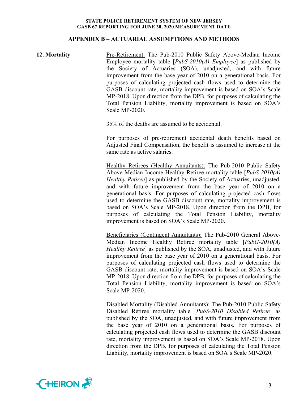#### **APPENDIX B – ACTUARIAL ASSUMPTIONS AND METHODS**

## **12. Mortality** Pre-Retirement: The Pub-2010 Public Safety Above-Median Income Employee mortality table [*PubS-2010(A) Employee*] as published by the Society of Actuaries (SOA), unadjusted, and with future improvement from the base year of 2010 on a generational basis. For purposes of calculating projected cash flows used to determine the GASB discount rate, mortality improvement is based on SOA's Scale MP-2018. Upon direction from the DPB, for purposes of calculating the Total Pension Liability, mortality improvement is based on SOA's Scale MP-2020.

35% of the deaths are assumed to be accidental.

For purposes of pre-retirement accidental death benefits based on Adjusted Final Compensation, the benefit is assumed to increase at the same rate as active salaries.

Healthy Retirees (Healthy Annuitants): The Pub-2010 Public Safety Above-Median Income Healthy Retiree mortality table [*PubS-2010(A) Healthy Retiree*] as published by the Society of Actuaries, unadjusted, and with future improvement from the base year of 2010 on a generational basis. For purposes of calculating projected cash flows used to determine the GASB discount rate, mortality improvement is based on SOA's Scale MP-2018. Upon direction from the DPB, for purposes of calculating the Total Pension Liability, mortality improvement is based on SOA's Scale MP-2020.

Beneficiaries (Contingent Annuitants): The Pub-2010 General Above-Median Income Healthy Retiree mortality table [*PubG-2010(A) Healthy Retiree*] as published by the SOA, unadjusted, and with future improvement from the base year of 2010 on a generational basis. For purposes of calculating projected cash flows used to determine the GASB discount rate, mortality improvement is based on SOA's Scale MP-2018. Upon direction from the DPB, for purposes of calculating the Total Pension Liability, mortality improvement is based on SOA's Scale MP-2020.

Disabled Mortality (Disabled Annuitants): The Pub-2010 Public Safety Disabled Retiree mortality table [*PubS-2010 Disabled Retiree*] as published by the SOA, unadjusted, and with future improvement from the base year of 2010 on a generational basis. For purposes of calculating projected cash flows used to determine the GASB discount rate, mortality improvement is based on SOA's Scale MP-2018. Upon direction from the DPB, for purposes of calculating the Total Pension Liability, mortality improvement is based on SOA's Scale MP-2020.

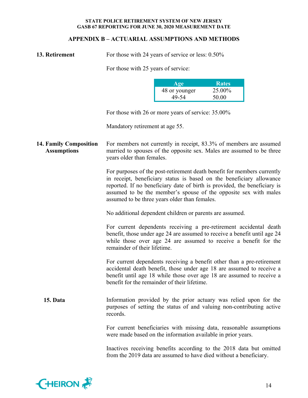## **APPENDIX B – ACTUARIAL ASSUMPTIONS AND METHODS**

For those with 24 years of service or less:  $0.50\%$ 

For those with 25 years of service:

| Age           | <b>Rates</b> |
|---------------|--------------|
| 48 or younger | 25.00%       |
| 49-54         | 50.00        |

For those with 26 or more years of service: 35.00%

Mandatory retirement at age 55.

**14. Family Composition Assumptions**  For members not currently in receipt, 83.3% of members are assumed married to spouses of the opposite sex. Males are assumed to be three years older than females.

> For purposes of the post-retirement death benefit for members currently in receipt, beneficiary status is based on the beneficiary allowance reported. If no beneficiary date of birth is provided, the beneficiary is assumed to be the member's spouse of the opposite sex with males assumed to be three years older than females.

No additional dependent children or parents are assumed.

For current dependents receiving a pre-retirement accidental death benefit, those under age 24 are assumed to receive a benefit until age 24 while those over age 24 are assumed to receive a benefit for the remainder of their lifetime.

For current dependents receiving a benefit other than a pre-retirement accidental death benefit, those under age 18 are assumed to receive a benefit until age 18 while those over age 18 are assumed to receive a benefit for the remainder of their lifetime.

**15. Data** Information provided by the prior actuary was relied upon for the purposes of setting the status of and valuing non-contributing active records.

> For current beneficiaries with missing data, reasonable assumptions were made based on the information available in prior years.

> Inactives receiving benefits according to the 2018 data but omitted from the 2019 data are assumed to have died without a beneficiary.

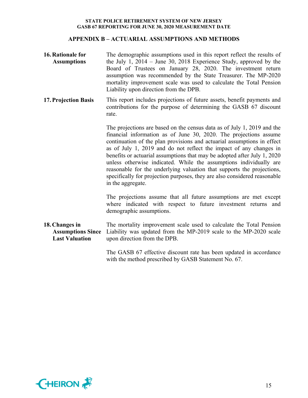## **APPENDIX B – ACTUARIAL ASSUMPTIONS AND METHODS**

**16. Rationale for Assumptions**  The demographic assumptions used in this report reflect the results of the July 1, 2014 – June 30, 2018 Experience Study, approved by the Board of Trustees on January 28, 2020. The investment return assumption was recommended by the State Treasurer. The MP-2020 mortality improvement scale was used to calculate the Total Pension Liability upon direction from the DPB. **17.Projection Basis**  This report includes projections of future assets, benefit payments and contributions for the purpose of determining the GASB 67 discount rate.

> The projections are based on the census data as of July 1, 2019 and the financial information as of June 30, 2020. The projections assume continuation of the plan provisions and actuarial assumptions in effect as of July 1, 2019 and do not reflect the impact of any changes in benefits or actuarial assumptions that may be adopted after July 1, 2020 unless otherwise indicated. While the assumptions individually are reasonable for the underlying valuation that supports the projections, specifically for projection purposes, they are also considered reasonable in the aggregate.

> The projections assume that all future assumptions are met except where indicated with respect to future investment returns and demographic assumptions.

**18. Changes in Assumptions Since Last Valuation**  The mortality improvement scale used to calculate the Total Pension Liability was updated from the MP-2019 scale to the MP-2020 scale upon direction from the DPB.

> The GASB 67 effective discount rate has been updated in accordance with the method prescribed by GASB Statement No. 67.

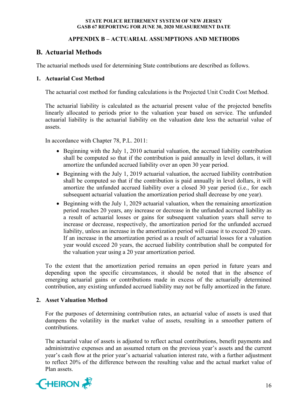# **APPENDIX B – ACTUARIAL ASSUMPTIONS AND METHODS**

# **B. Actuarial Methods**

The actuarial methods used for determining State contributions are described as follows.

# **1. Actuarial Cost Method**

The actuarial cost method for funding calculations is the Projected Unit Credit Cost Method.

The actuarial liability is calculated as the actuarial present value of the projected benefits linearly allocated to periods prior to the valuation year based on service. The unfunded actuarial liability is the actuarial liability on the valuation date less the actuarial value of assets.

In accordance with Chapter 78, P.L. 2011:

- Beginning with the July 1, 2010 actuarial valuation, the accrued liability contribution shall be computed so that if the contribution is paid annually in level dollars, it will amortize the unfunded accrued liability over an open 30 year period.
- Beginning with the July 1, 2019 actuarial valuation, the accrued liability contribution shall be computed so that if the contribution is paid annually in level dollars, it will amortize the unfunded accrued liability over a closed 30 year period (i.e., for each subsequent actuarial valuation the amortization period shall decrease by one year).
- Beginning with the July 1, 2029 actuarial valuation, when the remaining amortization period reaches 20 years, any increase or decrease in the unfunded accrued liability as a result of actuarial losses or gains for subsequent valuation years shall serve to increase or decrease, respectively, the amortization period for the unfunded accrued liability, unless an increase in the amortization period will cause it to exceed 20 years. If an increase in the amortization period as a result of actuarial losses for a valuation year would exceed 20 years, the accrued liability contribution shall be computed for the valuation year using a 20 year amortization period.

To the extent that the amortization period remains an open period in future years and depending upon the specific circumstances, it should be noted that in the absence of emerging actuarial gains or contributions made in excess of the actuarially determined contribution, any existing unfunded accrued liability may not be fully amortized in the future.

# **2. Asset Valuation Method**

For the purposes of determining contribution rates, an actuarial value of assets is used that dampens the volatility in the market value of assets, resulting in a smoother pattern of contributions.

The actuarial value of assets is adjusted to reflect actual contributions, benefit payments and administrative expenses and an assumed return on the previous year's assets and the current year's cash flow at the prior year's actuarial valuation interest rate, with a further adjustment to reflect 20% of the difference between the resulting value and the actual market value of Plan assets.

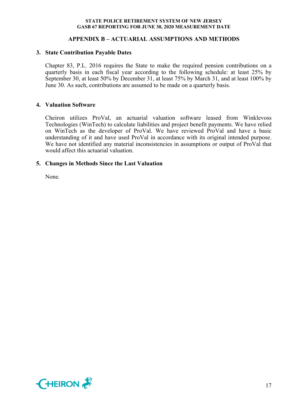## **APPENDIX B – ACTUARIAL ASSUMPTIONS AND METHODS**

#### **3. State Contribution Payable Dates**

Chapter 83, P.L. 2016 requires the State to make the required pension contributions on a quarterly basis in each fiscal year according to the following schedule: at least 25% by September 30, at least 50% by December 31, at least 75% by March 31, and at least 100% by June 30. As such, contributions are assumed to be made on a quarterly basis.

#### **4. Valuation Software**

Cheiron utilizes ProVal, an actuarial valuation software leased from Winklevoss Technologies (WinTech) to calculate liabilities and project benefit payments. We have relied on WinTech as the developer of ProVal. We have reviewed ProVal and have a basic understanding of it and have used ProVal in accordance with its original intended purpose. We have not identified any material inconsistencies in assumptions or output of ProVal that would affect this actuarial valuation.

## **5. Changes in Methods Since the Last Valuation**

None.

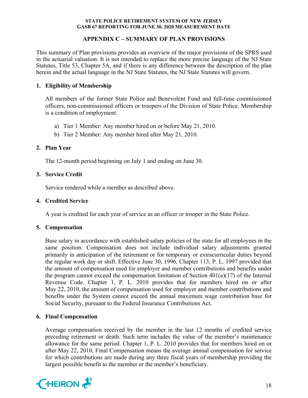## **APPENDIX C – SUMMARY OF PLAN PROVISIONS**

This summary of Plan provisions provides an overview of the major provisions of the SPRS used in the actuarial valuation. It is not intended to replace the more precise language of the NJ State Statutes, Title 53, Chapter 5A, and if there is any difference between the description of the plan herein and the actual language in the NJ State Statutes, the NJ State Statutes will govern.

## **1. Eligibility of Membership**

All members of the former State Police and Benevolent Fund and full-time commissioned officers, non-commissioned officers or troopers of the Division of State Police. Membership is a condition of employment.

- a) Tier 1 Member: Any member hired on or before May 21, 2010.
- b) Tier 2 Member: Any member hired after May 21, 2010.

## **2. Plan Year**

The 12-month period beginning on July 1 and ending on June 30.

## **3. Service Credit**

Service rendered while a member as described above.

## **4. Credited Service**

A year is credited for each year of service as an officer or trooper in the State Police.

## **5. Compensation**

Base salary in accordance with established salary policies of the state for all employees in the same position. Compensation does not include individual salary adjustments granted primarily in anticipation of the retirement or for temporary or extracurricular duties beyond the regular work day or shift. Effective June 30, 1996, Chapter 113, P. L. 1997 provided that the amount of compensation used for employer and member contributions and benefits under the program cannot exceed the compensation limitation of Section  $401(a)(17)$  of the Internal Revenue Code. Chapter 1, P. L. 2010 provides that for members hired on or after May 22, 2010, the amount of compensation used for employer and member contributions and benefits under the System cannot exceed the annual maximum wage contribution base for Social Security, pursuant to the Federal Insurance Contributions Act.

# **6. Final Compensation**

Average compensation received by the member in the last 12 months of credited service preceding retirement or death. Such term includes the value of the member's maintenance allowance for the same period. Chapter 1, P. L. 2010 provides that for members hired on or after May 22, 2010, Final Compensation means the average annual compensation for service for which contributions are made during any three fiscal years of membership providing the largest possible benefit to the member or the member's beneficiary.

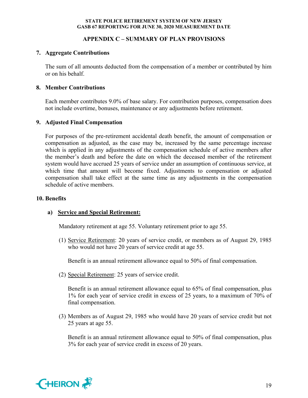## **APPENDIX C – SUMMARY OF PLAN PROVISIONS**

## **7. Aggregate Contributions**

The sum of all amounts deducted from the compensation of a member or contributed by him or on his behalf.

## **8. Member Contributions**

Each member contributes 9.0% of base salary. For contribution purposes, compensation does not include overtime, bonuses, maintenance or any adjustments before retirement.

## **9. Adjusted Final Compensation**

For purposes of the pre-retirement accidental death benefit, the amount of compensation or compensation as adjusted, as the case may be, increased by the same percentage increase which is applied in any adjustments of the compensation schedule of active members after the member's death and before the date on which the deceased member of the retirement system would have accrued 25 years of service under an assumption of continuous service, at which time that amount will become fixed. Adjustments to compensation or adjusted compensation shall take effect at the same time as any adjustments in the compensation schedule of active members.

## **10. Benefits**

# **a) Service and Special Retirement:**

Mandatory retirement at age 55. Voluntary retirement prior to age 55.

(1) Service Retirement: 20 years of service credit, or members as of August 29, 1985 who would not have 20 years of service credit at age 55.

Benefit is an annual retirement allowance equal to 50% of final compensation.

(2) Special Retirement: 25 years of service credit.

Benefit is an annual retirement allowance equal to 65% of final compensation, plus 1% for each year of service credit in excess of 25 years, to a maximum of 70% of final compensation.

(3) Members as of August 29, 1985 who would have 20 years of service credit but not 25 years at age 55.

Benefit is an annual retirement allowance equal to 50% of final compensation, plus 3% for each year of service credit in excess of 20 years.

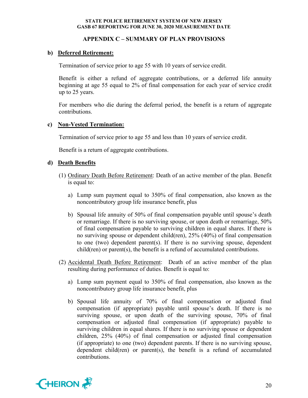## **APPENDIX C – SUMMARY OF PLAN PROVISIONS**

## **b) Deferred Retirement:**

Termination of service prior to age 55 with 10 years of service credit.

Benefit is either a refund of aggregate contributions, or a deferred life annuity beginning at age 55 equal to 2% of final compensation for each year of service credit up to 25 years.

For members who die during the deferral period, the benefit is a return of aggregate contributions.

## **c) Non-Vested Termination:**

Termination of service prior to age 55 and less than 10 years of service credit.

Benefit is a return of aggregate contributions.

## **d) Death Benefits**

- (1) Ordinary Death Before Retirement: Death of an active member of the plan. Benefit is equal to:
	- a) Lump sum payment equal to 350% of final compensation, also known as the noncontributory group life insurance benefit, plus
	- b) Spousal life annuity of 50% of final compensation payable until spouse's death or remarriage. If there is no surviving spouse, or upon death or remarriage, 50% of final compensation payable to surviving children in equal shares. If there is no surviving spouse or dependent child(ren), 25% (40%) of final compensation to one (two) dependent parent(s). If there is no surviving spouse, dependent child(ren) or parent(s), the benefit is a refund of accumulated contributions.
- (2) Accidental Death Before Retirement: Death of an active member of the plan resulting during performance of duties. Benefit is equal to:
	- a) Lump sum payment equal to 350% of final compensation, also known as the noncontributory group life insurance benefit, plus
	- b) Spousal life annuity of 70% of final compensation or adjusted final compensation (if appropriate) payable until spouse's death. If there is no surviving spouse, or upon death of the surviving spouse, 70% of final compensation or adjusted final compensation (if appropriate) payable to surviving children in equal shares. If there is no surviving spouse or dependent children, 25% (40%) of final compensation or adjusted final compensation (if appropriate) to one (two) dependent parents. If there is no surviving spouse, dependent child(ren) or parent(s), the benefit is a refund of accumulated contributions.

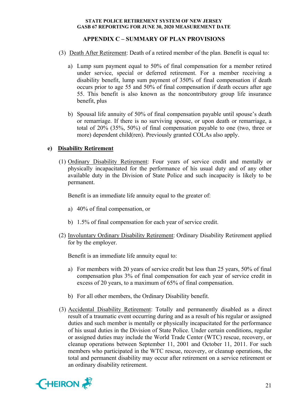## **APPENDIX C – SUMMARY OF PLAN PROVISIONS**

- (3) Death After Retirement: Death of a retired member of the plan. Benefit is equal to:
	- a) Lump sum payment equal to 50% of final compensation for a member retired under service, special or deferred retirement. For a member receiving a disability benefit, lump sum payment of 350% of final compensation if death occurs prior to age 55 and 50% of final compensation if death occurs after age 55. This benefit is also known as the noncontributory group life insurance benefit, plus
	- b) Spousal life annuity of 50% of final compensation payable until spouse's death or remarriage. If there is no surviving spouse, or upon death or remarriage, a total of 20% (35%, 50%) of final compensation payable to one (two, three or more) dependent child(ren). Previously granted COLAs also apply.

## **e) Disability Retirement**

(1) Ordinary Disability Retirement: Four years of service credit and mentally or physically incapacitated for the performance of his usual duty and of any other available duty in the Division of State Police and such incapacity is likely to be permanent.

Benefit is an immediate life annuity equal to the greater of:

- a) 40% of final compensation, or
- b) 1.5% of final compensation for each year of service credit.
- (2) Involuntary Ordinary Disability Retirement: Ordinary Disability Retirement applied for by the employer.

Benefit is an immediate life annuity equal to:

- a) For members with 20 years of service credit but less than 25 years, 50% of final compensation plus 3% of final compensation for each year of service credit in excess of 20 years, to a maximum of 65% of final compensation.
- b) For all other members, the Ordinary Disability benefit.
- (3) Accidental Disability Retirement: Totally and permanently disabled as a direct result of a traumatic event occurring during and as a result of his regular or assigned duties and such member is mentally or physically incapacitated for the performance of his usual duties in the Division of State Police. Under certain conditions, regular or assigned duties may include the World Trade Center (WTC) rescue, recovery, or cleanup operations between September 11, 2001 and October 11, 2011. For such members who participated in the WTC rescue, recovery, or cleanup operations, the total and permanent disability may occur after retirement on a service retirement or an ordinary disability retirement.

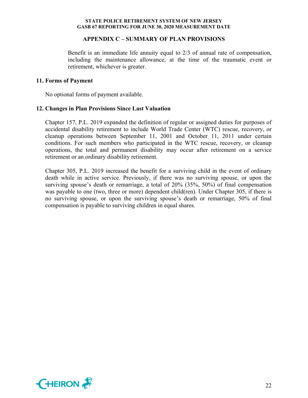#### **APPENDIX C – SUMMARY OF PLAN PROVISIONS**

Benefit is an immediate life annuity equal to 2/3 of annual rate of compensation, including the maintenance allowance, at the time of the traumatic event or retirement, whichever is greater.

#### **11. Forms of Payment**

No optional forms of payment available.

#### **12. Changes in Plan Provisions Since Last Valuation**

Chapter 157, P.L. 2019 expanded the definition of regular or assigned duties for purposes of accidental disability retirement to include World Trade Center (WTC) rescue, recovery, or cleanup operations between September 11, 2001 and October 11, 2011 under certain conditions. For such members who participated in the WTC rescue, recovery, or cleanup operations, the total and permanent disability may occur after retirement on a service retirement or an ordinary disability retirement.

Chapter 305, P.L. 2019 increased the benefit for a surviving child in the event of ordinary death while in active service. Previously, if there was no surviving spouse, or upon the surviving spouse's death or remarriage, a total of 20% (35%, 50%) of final compensation was payable to one (two, three or more) dependent child(ren). Under Chapter 305, if there is no surviving spouse, or upon the surviving spouse's death or remarriage, 50% of final compensation is payable to surviving children in equal shares.

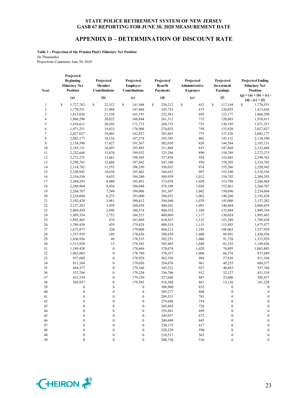#### **APPENDIX D – DETERMINATION OF DISCOUNT RATE**

**Table 1 - Projection of the Pension Plan's Fiduciary Net Position** (In Thousands) Projections Commence June 30, 2020

| Year             | Projected<br><b>Beginning</b><br><b>Fiduciary Net</b><br><b>Position</b> | Projected<br>Member<br>Contributions | Projected<br><b>Employer</b><br>Contributions | Projected<br><b>Benefit</b><br><b>Payments</b> | Projected<br>Administrative<br><b>Expenses</b> | Projected<br>Investment<br><b>Earnings</b> | <b>Projected Ending</b><br><b>Fiduciary Net</b><br><b>Position</b> |
|------------------|--------------------------------------------------------------------------|--------------------------------------|-----------------------------------------------|------------------------------------------------|------------------------------------------------|--------------------------------------------|--------------------------------------------------------------------|
|                  | (a)                                                                      | (b)                                  | (c)                                           | (d)                                            | (e)                                            | (f)                                        | $(g) = (a) + (b) + (c)$                                            |
|                  |                                                                          |                                      |                                               |                                                |                                                |                                            | $(d) - (e) + (f)$                                                  |
| 1                | \$<br>1,727,762                                                          | \$<br>22,512                         | \$<br>141,948                                 | \$<br>238,212                                  | \$<br>652                                      | \$<br>117,194                              | \$<br>1,770,551                                                    |
| $\boldsymbol{2}$ | 1,770,551                                                                | 21,988                               | 147,468                                       | 245,733                                        | 673                                            | 120,055                                    | 1,813,656                                                          |
| 3                | 1,813,656                                                                | 21,538                               | 161,191                                       | 252,581                                        | 692                                            | 123,177                                    | 1,866,290                                                          |
| $\overline{4}$   | 1,866,290                                                                | 20,822                               | 166,844                                       | 261,312                                        | 715                                            | 126,683                                    | 1,918,611                                                          |
| 5                | 1,918,611                                                                | 20,203                               | 171,713                                       | 268,735                                        | 735                                            | 130,195                                    | 1,971,251                                                          |
| 6<br>7           | 1,971,251                                                                | 19,823                               | 176,908                                       | 274,025                                        | 750<br>775                                     | 133,820                                    | 2,027,027                                                          |
| 8                | 2,027,027                                                                | 19,003                               | 182,837                                       | 283,441                                        | 802                                            | 137,526                                    | 2,082,177                                                          |
| 9                | 2,082,177<br>2,134,590                                                   | 18,154<br>17,427                     | 187,274<br>191,367                            | 293,345<br>302,010                             | 826                                            | 141,132<br>144,584                         | 2,134,590                                                          |
| 10               | 2,185,131                                                                | 16,497                               | 195,892                                       | 311,868                                        | 853                                            | 147,868                                    | 2,185,131<br>2,232,668                                             |
| 11               | 2,232,668                                                                | 15,070                               | 199,932                                       | 325,294                                        | 890                                            | 150,789                                    | 2,272,275                                                          |
| 12               |                                                                          | 13,661                               | 198,565                                       | 337,858                                        | 924                                            | 153,045                                    | 2,298,763                                                          |
| 13               | 2,272,275<br>2,298,763                                                   | 12,604                               | 197,042                                       | 347,180                                        | 950                                            | 154,503                                    | 2,314,782                                                          |
| 14               |                                                                          | 11,553                               | 196,350                                       | 356,032                                        | 974                                            | 155,266                                    |                                                                    |
| 15               | 2,314,782<br>2,320,945                                                   | 10,438                               | 195,462                                       | 364,632                                        | 997                                            | 155,340                                    | 2,320,945<br>2,316,556                                             |
| 16               | 2,316,556                                                                | 9,655                                | 194,260                                       | 369,959                                        | 1,012                                          | 154,792                                    | 2,304,293                                                          |
| 17               | 2,304,293                                                                | 9,080                                | 193,891                                       | 373,078                                        | 1,020                                          | 153,798                                    | 2,286,964                                                          |
| 18               | 2,286,964                                                                | 8,454                                | 194,044                                       | 376,189                                        | 1,028                                          | 152,461                                    | 2,264,707                                                          |
| 19               | 2,264,707                                                                | 7,544                                | 194,006                                       | 381,307                                        | 1,042                                          | 150,696                                    | 2,234,604                                                          |
| 20               | 2,234,604                                                                | 6,272                                | 193,000                                       | 388,652                                        | 1,062                                          | 148,266                                    | 2,192,428                                                          |
| 21               | 2,192,428                                                                | 5,061                                | 190,812                                       | 394,940                                        | 1,079                                          | 145,000                                    | 2,137,282                                                          |
| 22               | 2,137,282                                                                | 3,929                                | 188,658                                       | 400,201                                        | 1,093                                          | 140,864                                    | 2,069,439                                                          |
| 23               | 2,069,439                                                                | 2,896                                | 186,574                                       | 404,335                                        | 1,104                                          | 135,884                                    | 1,989,354                                                          |
| 24               | 1,989,354                                                                | 1,752                                | 184,521                                       | 409,069                                        | 1,117                                          | 130,024                                    | 1,895,465                                                          |
| 25               | 1,895,465                                                                | 874                                  | 181,869                                       | 410,937                                        | 1,122                                          | 123,289                                    | 1,789,438                                                          |
| 26               | 1,789,438                                                                | 459                                  | 179,829                                       | 408,519                                        | 1,115                                          | 115,885                                    | 1,675,977                                                          |
| 27               | 1,675,977                                                                | 226                                  | 179,008                                       | 404,213                                        | 1,102                                          | 108,063                                    | 1,557,959                                                          |
| 28               | 1,557,959                                                                | 105                                  | 178,636                                       | 398,659                                        | 1,086                                          | 99,981                                     | 1,436,936                                                          |
| 29               | 1,436,936                                                                | 49                                   | 178,535                                       | 392,251                                        | 1,068                                          | 91,728                                     | 1,313,929                                                          |
| 30               | 1,313,929                                                                | 13                                   | 178,583                                       | 385,405                                        | 1,049                                          | 83,355                                     | 1,189,426                                                          |
| 31               | 1,189,426                                                                | $\boldsymbol{0}$                     | 178,666                                       | 378,074                                        | 1,028                                          | 74,895                                     | 1,063,885                                                          |
| 32               | 1,063,885                                                                | $\boldsymbol{0}$                     | 178,789                                       | 370,357                                        | 1,006                                          | 66,378                                     | 937,689                                                            |
| 33               | 937,689                                                                  | $\boldsymbol{0}$                     | 178,929                                       | 362,356                                        | 984                                            | 57,826                                     | 811,104                                                            |
| 34               | 811,104                                                                  | $\boldsymbol{0}$                     | 179,056                                       | 354,076                                        | 961                                            | 49,255                                     | 684,377                                                            |
| 35               | 684,377                                                                  | $\boldsymbol{0}$                     | 179,166                                       | 345,522                                        | 937                                            | 40,683                                     | 557,766                                                            |
| 36               | 557,766                                                                  | $\boldsymbol{0}$                     | 179,258                                       | 336,706                                        | 912                                            | 32,127                                     | 431,534                                                            |
| 37               | 431,534                                                                  | $\boldsymbol{0}$                     | 179,330                                       | 327,646                                        | 887                                            | 23,606                                     | 305,937                                                            |
| 38               | 305,937                                                                  | $\boldsymbol{0}$                     | 179,383                                       | 318,368                                        | 861                                            | 15,136                                     | 181,228                                                            |
| 39               | $\boldsymbol{0}$                                                         | $\boldsymbol{0}$                     | $\boldsymbol{0}$                              | 308,900                                        | 835                                            | $\boldsymbol{0}$                           | $\boldsymbol{0}$                                                   |
| 40               | $\boldsymbol{0}$                                                         | $\boldsymbol{0}$                     | $\boldsymbol{0}$                              | 299,277                                        | 808                                            | $\boldsymbol{0}$                           | $\boldsymbol{0}$                                                   |
| 41               | $\mathbf{0}$                                                             | $\theta$                             | $\mathbf{0}$                                  | 289,531                                        | 781                                            | $\mathbf{0}$                               | $\boldsymbol{0}$                                                   |
| 42               | $\boldsymbol{0}$                                                         | $\boldsymbol{0}$                     | $\boldsymbol{0}$                              | 279,696                                        | 754                                            | 0                                          | $\Omega$                                                           |
| 43               | $\boldsymbol{0}$                                                         | $\mathbf{0}$                         | $\mathbf{0}$                                  | 269,803                                        | 726                                            | $\boldsymbol{0}$                           | $\boldsymbol{0}$                                                   |
| 44               | $\mathbf{0}$                                                             | $\mathbf{0}$                         | $\mathbf{0}$                                  | 259,881                                        | 699                                            | $\mathbf{0}$                               | $\mathbf{0}$                                                       |
| 45               | $\mathbf{0}$                                                             | $\theta$                             | $\mathbf{0}$                                  | 249,957                                        | 672                                            | $\mathbf{0}$                               | $\mathbf{0}$                                                       |
| 46               | $\boldsymbol{0}$                                                         | $\boldsymbol{0}$                     | $\mathbf{0}$                                  | 240,049                                        | 645                                            | $\boldsymbol{0}$                           | $\boldsymbol{0}$                                                   |
| 47               | $\boldsymbol{0}$                                                         | $\theta$                             | $\mathbf{0}$                                  | 230,172                                        | 617                                            | $\boldsymbol{0}$                           | $\boldsymbol{0}$                                                   |
| 48               | $\boldsymbol{0}$                                                         | $\mathbf{0}$                         | $\boldsymbol{0}$                              | 220,329                                        | 590                                            | $\boldsymbol{0}$                           | $\boldsymbol{0}$                                                   |
| 49               | $\boldsymbol{0}$                                                         | $\boldsymbol{0}$                     | $\boldsymbol{0}$                              | 210,517                                        | 563                                            | $\boldsymbol{0}$                           | $\boldsymbol{0}$                                                   |
| 50               | $\mathbf{0}$                                                             | $\overline{0}$                       | $\overline{0}$                                | 200,730                                        | 536                                            | $\boldsymbol{0}$                           | $\overline{0}$                                                     |

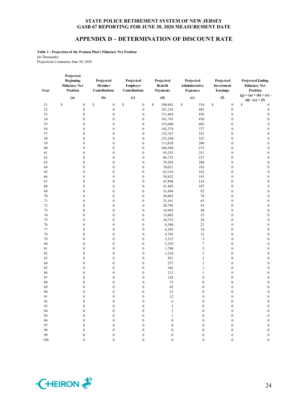## **APPENDIX D – DETERMINATION OF DISCOUNT RATE**

**Table 1 - Projection of the Pension Plan's Fiduciary Net Position** (In Thousands) Projections Commence June 30, 2020

| Year     | Projected<br><b>Beginning</b><br><b>Fiduciary Net</b><br><b>Position</b> | Projected<br>Member<br>Contributions | Projected<br><b>Employer</b><br>Contributions | Projected<br><b>Benefit</b><br><b>Payments</b> | Projected<br>Administrative<br><b>Expenses</b> | Projected<br>Investment<br><b>Earnings</b> | <b>Projected Ending</b><br><b>Fiduciary Net</b><br><b>Position</b> |
|----------|--------------------------------------------------------------------------|--------------------------------------|-----------------------------------------------|------------------------------------------------|------------------------------------------------|--------------------------------------------|--------------------------------------------------------------------|
|          | (a)                                                                      | (b)                                  | (c)                                           | (d)                                            | (e)                                            | (f)                                        | $(g) = (a) + (b) + (c)$<br>$(d) - (e) + (f)$                       |
| 51       | \$<br>$\boldsymbol{0}$                                                   | \$<br>$\boldsymbol{0}$               | \$<br>$\boldsymbol{0}$                        | \$<br>190,963                                  | \$<br>510                                      | \$<br>$\boldsymbol{0}$                     | \$<br>$\boldsymbol{0}$                                             |
| 52       | $\boldsymbol{0}$                                                         | $\boldsymbol{0}$                     | $\boldsymbol{0}$                              | 181,210                                        | 483                                            | $\boldsymbol{0}$                           | $\boldsymbol{0}$                                                   |
| 53       | $\boldsymbol{0}$                                                         | $\boldsymbol{0}$                     | $\boldsymbol{0}$                              | 171,469                                        | 456                                            | $\boldsymbol{0}$                           | $\boldsymbol{0}$                                                   |
| 54       | $\boldsymbol{0}$                                                         | $\boldsymbol{0}$                     | $\boldsymbol{0}$                              | 161,743                                        | 430                                            | $\boldsymbol{0}$                           | $\boldsymbol{0}$                                                   |
| 55       | $\boldsymbol{0}$                                                         | $\boldsymbol{0}$                     | $\boldsymbol{0}$                              | 152,040                                        | 403                                            | $\boldsymbol{0}$                           | $\boldsymbol{0}$                                                   |
| 56       | $\boldsymbol{0}$                                                         | $\boldsymbol{0}$                     | $\boldsymbol{0}$                              | 142,374                                        | 377                                            | $\boldsymbol{0}$                           | $\boldsymbol{0}$                                                   |
| 57       | $\boldsymbol{0}$                                                         | $\boldsymbol{0}$                     | $\boldsymbol{0}$                              | 132,767                                        | 351                                            | $\boldsymbol{0}$                           | $\boldsymbol{0}$                                                   |
| 58       | $\boldsymbol{0}$                                                         | $\boldsymbol{0}$                     | $\boldsymbol{0}$                              | 123,244                                        | 325                                            | $\boldsymbol{0}$                           | $\boldsymbol{0}$                                                   |
| 59       | $\boldsymbol{0}$                                                         | $\boldsymbol{0}$                     | $\boldsymbol{0}$                              | 113,838                                        | 300                                            | $\boldsymbol{0}$                           | $\boldsymbol{0}$                                                   |
| 60       | $\boldsymbol{0}$                                                         | $\boldsymbol{0}$                     | $\boldsymbol{0}$                              | 104,588                                        | 275                                            | $\boldsymbol{0}$                           | $\boldsymbol{0}$                                                   |
| 61       | $\boldsymbol{0}$                                                         | $\boldsymbol{0}$                     | $\boldsymbol{0}$                              | 95,535                                         | 251                                            | $\boldsymbol{0}$                           | $\boldsymbol{0}$                                                   |
| 62       | $\boldsymbol{0}$                                                         | $\boldsymbol{0}$                     | $\boldsymbol{0}$                              | 86,725                                         | 227                                            | $\boldsymbol{0}$                           | $\boldsymbol{0}$                                                   |
| 63       | $\boldsymbol{0}$                                                         | $\boldsymbol{0}$                     | $\boldsymbol{0}$                              | 78,205                                         | 204                                            | $\boldsymbol{0}$                           | $\boldsymbol{0}$                                                   |
| 64       | $\boldsymbol{0}$                                                         | $\boldsymbol{0}$                     | $\boldsymbol{0}$                              | 70,021                                         | 183                                            | $\boldsymbol{0}$                           | $\boldsymbol{0}$                                                   |
| 65       | $\boldsymbol{0}$                                                         | $\boldsymbol{0}$                     | $\boldsymbol{0}$                              | 62,216                                         | 162                                            | $\boldsymbol{0}$                           | $\boldsymbol{0}$                                                   |
| 66       | $\boldsymbol{0}$                                                         | $\boldsymbol{0}$                     | $\boldsymbol{0}$                              | 54,832                                         | 143                                            | $\mathbf{0}$                               | $\boldsymbol{0}$                                                   |
| 67       | $\boldsymbol{0}$                                                         | $\boldsymbol{0}$                     | $\boldsymbol{0}$                              | 47,898                                         | 124                                            | $\boldsymbol{0}$                           | $\boldsymbol{0}$                                                   |
| 68       | $\boldsymbol{0}$                                                         | $\mathbf{0}$                         | $\boldsymbol{0}$                              | 41,445                                         | 107                                            | $\boldsymbol{0}$                           | $\boldsymbol{0}$                                                   |
| 69       | $\boldsymbol{0}$                                                         | $\boldsymbol{0}$                     | $\boldsymbol{0}$                              | 35,494                                         | 92                                             | $\boldsymbol{0}$                           | $\boldsymbol{0}$                                                   |
| 70       | $\boldsymbol{0}$                                                         | $\boldsymbol{0}$                     | $\boldsymbol{0}$                              | 30,063                                         | 78                                             | $\boldsymbol{0}$                           | $\boldsymbol{0}$                                                   |
| 71       | $\boldsymbol{0}$                                                         | $\boldsymbol{0}$                     | $\boldsymbol{0}$                              | 25,161                                         | 65                                             | $\mathbf{0}$                               | $\boldsymbol{0}$                                                   |
| 72       | $\boldsymbol{0}$                                                         | $\boldsymbol{0}$                     | $\boldsymbol{0}$                              | 20,789                                         | 54                                             | $\boldsymbol{0}$                           | $\boldsymbol{0}$                                                   |
| 73       | $\boldsymbol{0}$                                                         | $\boldsymbol{0}$<br>$\boldsymbol{0}$ | $\boldsymbol{0}$                              | 16,943<br>13,605                               | 44<br>35                                       | $\boldsymbol{0}$<br>$\boldsymbol{0}$       | $\boldsymbol{0}$                                                   |
| 74<br>75 | $\boldsymbol{0}$<br>$\boldsymbol{0}$                                     | $\boldsymbol{0}$                     | $\boldsymbol{0}$<br>$\boldsymbol{0}$          | 10,755                                         | 28                                             | $\boldsymbol{0}$                           | $\boldsymbol{0}$<br>$\boldsymbol{0}$                               |
| 76       | $\boldsymbol{0}$                                                         | $\boldsymbol{0}$                     | $\boldsymbol{0}$                              | 8,360                                          | 21                                             | $\boldsymbol{0}$                           | $\boldsymbol{0}$                                                   |
| 77       | $\boldsymbol{0}$                                                         | $\boldsymbol{0}$                     | $\boldsymbol{0}$                              | 6,385                                          | 16                                             | $\boldsymbol{0}$                           | $\boldsymbol{0}$                                                   |
| 78       | $\boldsymbol{0}$                                                         | $\boldsymbol{0}$                     | $\boldsymbol{0}$                              | 4,785                                          | 12                                             | $\boldsymbol{0}$                           | $\boldsymbol{0}$                                                   |
| 79       | $\boldsymbol{0}$                                                         | $\boldsymbol{0}$                     | $\boldsymbol{0}$                              | 3,515                                          | $\overline{9}$                                 | $\boldsymbol{0}$                           | $\boldsymbol{0}$                                                   |
| $80\,$   | $\boldsymbol{0}$                                                         | $\boldsymbol{0}$                     | $\boldsymbol{0}$                              | 2,529                                          | 7                                              | $\boldsymbol{0}$                           | $\boldsymbol{0}$                                                   |
| 81       | $\boldsymbol{0}$                                                         | $\boldsymbol{0}$                     | $\boldsymbol{0}$                              | 1,780                                          | 5                                              | $\boldsymbol{0}$                           | $\boldsymbol{0}$                                                   |
| 82       | $\boldsymbol{0}$                                                         | $\boldsymbol{0}$                     | $\boldsymbol{0}$                              | 1,224                                          | $\mathfrak{Z}$                                 | $\boldsymbol{0}$                           | $\boldsymbol{0}$                                                   |
| 83       | $\boldsymbol{0}$                                                         | $\boldsymbol{0}$                     | $\boldsymbol{0}$                              | 821                                            | $\overline{2}$                                 | $\boldsymbol{0}$                           | $\boldsymbol{0}$                                                   |
| 84       | $\boldsymbol{0}$                                                         | $\boldsymbol{0}$                     | $\boldsymbol{0}$                              | 537                                            | $\mathbf{1}$                                   | $\boldsymbol{0}$                           | $\boldsymbol{0}$                                                   |
| 85       | $\boldsymbol{0}$                                                         | $\boldsymbol{0}$                     | $\boldsymbol{0}$                              | 342                                            | $\mathbf{1}$                                   | $\boldsymbol{0}$                           | $\boldsymbol{0}$                                                   |
| 86       | $\boldsymbol{0}$                                                         | $\boldsymbol{0}$                     | $\boldsymbol{0}$                              | 212                                            | 1                                              | $\boldsymbol{0}$                           | $\boldsymbol{0}$                                                   |
| 87       | $\boldsymbol{0}$                                                         | $\boldsymbol{0}$                     | $\boldsymbol{0}$                              | 128                                            | $\boldsymbol{0}$                               | $\boldsymbol{0}$                           | $\boldsymbol{0}$                                                   |
| 88       | $\boldsymbol{0}$                                                         | $\boldsymbol{0}$                     | $\boldsymbol{0}$                              | 75                                             | $\boldsymbol{0}$                               | $\boldsymbol{0}$                           | $\boldsymbol{0}$                                                   |
| 89       | $\boldsymbol{0}$                                                         | $\boldsymbol{0}$                     | $\boldsymbol{0}$                              | 42                                             | $\boldsymbol{0}$                               | $\boldsymbol{0}$                           | $\boldsymbol{0}$                                                   |
| 90       | $\boldsymbol{0}$                                                         | $\mathbf{0}$                         | $\boldsymbol{0}$                              | 23                                             | $\mathbf{0}$                                   | $\boldsymbol{0}$                           | $\boldsymbol{0}$                                                   |
| 91       | $\mathbf{0}$                                                             | $\mathbf{0}$                         | $\mathbf{0}$                                  | 12                                             | $\mathbf{0}$                                   | $\mathbf{0}$                               | $\boldsymbol{0}$                                                   |
| 92       | $\boldsymbol{0}$                                                         | $\boldsymbol{0}$                     | $\boldsymbol{0}$                              | 6                                              | $\boldsymbol{0}$                               | $\boldsymbol{0}$                           | $\boldsymbol{0}$                                                   |
| 93       | $\boldsymbol{0}$                                                         | $\boldsymbol{0}$                     | $\boldsymbol{0}$                              | 3                                              | $\boldsymbol{0}$                               | $\boldsymbol{0}$                           | $\boldsymbol{0}$                                                   |
| 94       | $\boldsymbol{0}$                                                         | $\boldsymbol{0}$                     | $\boldsymbol{0}$                              | $\overline{\mathbf{c}}$                        | $\boldsymbol{0}$                               | $\boldsymbol{0}$                           | $\boldsymbol{0}$                                                   |
| 95       | $\boldsymbol{0}$                                                         | $\mathbf{0}$                         | $\boldsymbol{0}$                              | $\mathbf{1}$                                   | $\mathbf{0}$                                   | $\boldsymbol{0}$                           | $\mathbf{0}$                                                       |
| 96       | $\boldsymbol{0}$                                                         | $\boldsymbol{0}$                     | $\boldsymbol{0}$                              | $\boldsymbol{0}$                               | $\boldsymbol{0}$                               | $\boldsymbol{0}$                           | $\boldsymbol{0}$                                                   |
| 97       | $\boldsymbol{0}$                                                         | $\boldsymbol{0}$                     | $\boldsymbol{0}$                              | $\boldsymbol{0}$                               | $\boldsymbol{0}$                               | $\boldsymbol{0}$                           | $\boldsymbol{0}$                                                   |
| 98       | $\boldsymbol{0}$                                                         | $\boldsymbol{0}$                     | $\boldsymbol{0}$                              | $\boldsymbol{0}$                               | $\boldsymbol{0}$                               | $\boldsymbol{0}$                           | $\boldsymbol{0}$                                                   |
| 99       | $\boldsymbol{0}$                                                         | $\mathbf{0}$                         | $\boldsymbol{0}$                              | $\mathbf{0}$                                   | $\boldsymbol{0}$                               | $\mathbf{0}$                               | $\boldsymbol{0}$                                                   |

100 0 0 0 0 0 0 0

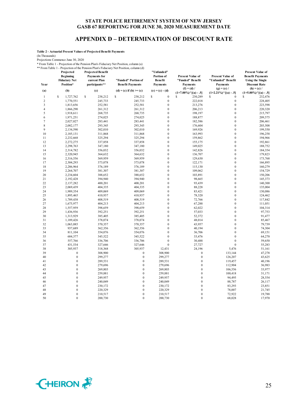## **APPENDIX D – DETERMINATION OF DISCOUNT RATE**

**Table 2 - Actuarial Present Values of Projected Benefit Payments**

(In Thousands)

Projections Commence June 30, 2020

\* From Table 1 - Projection of the Pension Plan's Fiduciary Net Position, column (a) \*\* From Table 1 - Projection of the Pension Plan's Fiduciary Net Position, column (d)

| Year<br>(a)    | Projected<br><b>Beginning</b><br><b>Fiduciary Net</b><br>Position*<br>(b) | <b>Projected Benefit</b><br><b>Payments</b> for<br>current Plan<br>participants**<br>(c) | "Funded" Portion of<br><b>Benefit Payments</b><br>$(d) = (c)$ if $(b) \geq (c)$ | "Unfunded"<br>Portion of<br><b>Benefit</b><br>Payments<br>$(e) = (c) - (d)$ | <b>Present Value of</b><br>"Funded" Benefit<br><b>Payments</b><br>$(f) = (d) /$ | <b>Present Value of</b><br>"Unfunded" Benefit<br>Payments<br>$(g) = (e) /$ | <b>Present Value of</b><br><b>Benefit Payments</b><br><b>Using the Single</b><br><b>Discount Rate</b><br>$(h) = (c) /$ |
|----------------|---------------------------------------------------------------------------|------------------------------------------------------------------------------------------|---------------------------------------------------------------------------------|-----------------------------------------------------------------------------|---------------------------------------------------------------------------------|----------------------------------------------------------------------------|------------------------------------------------------------------------------------------------------------------------|
|                |                                                                           |                                                                                          |                                                                                 |                                                                             | $(1+7.00\%)$ <sup>^</sup> [(a) - .5]                                            | $(1+2.21\%)$ <sup>^</sup> [(a) - .5]                                       | $(1+5.00\%)$ <sup>^</sup> [(a) - .5]                                                                                   |
| $\mathbf{1}$   | S<br>1,727,762                                                            | \$<br>238,212                                                                            | \$<br>238,212                                                                   | \$<br>$\mathbf{0}$                                                          | S<br>230,289                                                                    | S<br>$\mathbf{0}$                                                          | S<br>232,476                                                                                                           |
| $\overline{c}$ | 1,770,551                                                                 | 245,733                                                                                  | 245,733                                                                         | $\boldsymbol{0}$                                                            | 222,018                                                                         | $\boldsymbol{0}$                                                           | 228,405                                                                                                                |
| 3              | 1,813,656                                                                 | 252,581                                                                                  | 252,581                                                                         | $\boldsymbol{0}$                                                            | 213,276                                                                         | $\boldsymbol{0}$                                                           | 223,598                                                                                                                |
| $\overline{4}$ | 1,866,290                                                                 | 261,312                                                                                  | 261,312                                                                         | $\mathbf{0}$                                                                | 206,213                                                                         | $\mathbf{0}$                                                               | 220,320                                                                                                                |
| 5              | 1,918,611                                                                 | 268,735                                                                                  | 268,735                                                                         | $\mathbf{0}$                                                                | 198,197                                                                         | $\overline{0}$                                                             | 215,797                                                                                                                |
| 6              | 1,971,251                                                                 | 274,025                                                                                  | 274,025                                                                         | $\boldsymbol{0}$                                                            | 188,877                                                                         | $\overline{0}$                                                             | 209,575                                                                                                                |
| $\tau$         | 2,027,027                                                                 | 283,441                                                                                  | 283,441                                                                         | $\mathbf{0}$                                                                | 182,586                                                                         | $\mathbf{0}$                                                               | 206,461                                                                                                                |
| 8              | 2,082,177                                                                 | 293,345                                                                                  | 293,345                                                                         | $\overline{0}$                                                              | 176,604                                                                         | $\overline{0}$                                                             | 203,508                                                                                                                |
| 9              | 2,134,590                                                                 | 302,010                                                                                  | 302,010                                                                         | $\boldsymbol{0}$                                                            | 169,926                                                                         | $\boldsymbol{0}$                                                           | 199,550                                                                                                                |
| 10             | 2,185,131                                                                 | 311,868                                                                                  | 311,868                                                                         | $\mathbf{0}$                                                                | 163,993                                                                         | $\mathbf{0}$                                                               | 196,258                                                                                                                |
| 11             | 2,232,668                                                                 | 325,294                                                                                  | 325,294                                                                         | $\mathbf{0}$                                                                | 159,862                                                                         | $\mathbf{0}$                                                               | 194,966                                                                                                                |
| 12             | 2,272,275                                                                 | 337,858                                                                                  | 337,858                                                                         | $\boldsymbol{0}$                                                            | 155,175                                                                         | $\bf{0}$                                                                   | 192,861                                                                                                                |
| 13             | 2,298,763                                                                 | 347,180                                                                                  | 347,180                                                                         | $\mathbf{0}$                                                                | 149,025                                                                         | $\mathbf{0}$<br>$\overline{0}$                                             | 188,752                                                                                                                |
| 14             | 2,314,782                                                                 | 356,032                                                                                  | 356,032                                                                         | $\mathbf{0}$                                                                | 142,826                                                                         | $\mathbf{0}$                                                               | 184,354                                                                                                                |
| 15             | 2,320,945                                                                 | 364,632                                                                                  | 364,632                                                                         | $\mathbf{0}$                                                                | 136,707                                                                         |                                                                            | 179,823                                                                                                                |
| 16             | 2,316,556                                                                 | 369,959                                                                                  | 369,959                                                                         | $\mathbf{0}$                                                                | 129,630                                                                         | $\mathbf{0}$<br>$\overline{0}$                                             | 173,768                                                                                                                |
| 17<br>18       | 2,304,293<br>2,286,964                                                    | 373,078<br>376,189                                                                       | 373,078<br>376,189                                                              | $\boldsymbol{0}$<br>$\mathbf{0}$                                            | 122,171<br>115,130                                                              | $\mathbf{0}$                                                               | 166,895<br>160,279                                                                                                     |
| 19             |                                                                           |                                                                                          |                                                                                 | $\boldsymbol{0}$                                                            | 109,062                                                                         | $\boldsymbol{0}$                                                           |                                                                                                                        |
| 20             | 2,264,707                                                                 | 381,307<br>388,652                                                                       | 381,307<br>388,652                                                              | $\mathbf{0}$                                                                |                                                                                 | $\mathbf{0}$                                                               | 154,729                                                                                                                |
| 21             | 2,234,604                                                                 |                                                                                          | 394,940                                                                         | $\mathbf{0}$                                                                | 103,891                                                                         | $\overline{0}$                                                             | 150,206                                                                                                                |
| 22             | 2,192,428<br>2,137,282                                                    | 394,940<br>400,201                                                                       | 400,201                                                                         | $\mathbf{0}$                                                                | 98,665<br>93,439                                                                | $\overline{0}$                                                             | 145,373<br>140,300                                                                                                     |
| 23             | 2,069,439                                                                 | 404,335                                                                                  | 404,335                                                                         | $\boldsymbol{0}$                                                            | 88,228                                                                          | $\bf{0}$                                                                   | 135,004                                                                                                                |
| 24             | 1,989,354                                                                 | 409,069                                                                                  | 409,069                                                                         | $\mathbf{0}$                                                                | 83,421                                                                          | $\overline{0}$                                                             | 130,086                                                                                                                |
| 25             | 1,895,465                                                                 | 410,937                                                                                  | 410,937                                                                         | $\mathbf{0}$                                                                | 78,320                                                                          | $\mathbf{0}$                                                               | 124,462                                                                                                                |
| 26             | 1,789,438                                                                 | 408,519                                                                                  | 408,519                                                                         | $\mathbf{0}$                                                                | 72,766                                                                          | $\mathbf{0}$                                                               | 117,842                                                                                                                |
| 27             | 1,675,977                                                                 | 404,213                                                                                  | 404,213                                                                         | $\mathbf{0}$                                                                | 67,288                                                                          | $\overline{0}$                                                             | 111,051                                                                                                                |
| 28             | 1,557,959                                                                 | 398,659                                                                                  | 398,659                                                                         | $\mathbf{0}$                                                                | 62,022                                                                          | $\mathbf{0}$                                                               | 104,314                                                                                                                |
| 29             | 1,436,936                                                                 | 392,251                                                                                  | 392,251                                                                         | $\mathbf{0}$                                                                | 57,033                                                                          | $\mathbf{0}$                                                               | 97,753                                                                                                                 |
| 30             | 1,313,929                                                                 | 385,405                                                                                  | 385,405                                                                         | $\mathbf{0}$                                                                | 52,372                                                                          | $\mathbf{0}$                                                               | 91,477                                                                                                                 |
| 31             | 1,189,426                                                                 | 378,074                                                                                  | 378,074                                                                         | $\mathbf{0}$                                                                | 48,014                                                                          | $\mathbf{0}$                                                               | 85,467                                                                                                                 |
| 32             | 1,063,885                                                                 | 370,357                                                                                  | 370,357                                                                         | $\mathbf{0}$                                                                | 43,957                                                                          | $\mathbf{0}$                                                               | 79,739                                                                                                                 |
| 33             | 937,689                                                                   | 362,356                                                                                  | 362,356                                                                         | $\boldsymbol{0}$                                                            | 40,194                                                                          | $\mathbf{0}$                                                               | 74,304                                                                                                                 |
| 34             | 811,104                                                                   | 354,076                                                                                  | 354,076                                                                         | $\mathbf{0}$                                                                | 36,706                                                                          | $\mathbf{0}$                                                               | 69,151                                                                                                                 |
| 35             | 684,377                                                                   | 345,522                                                                                  | 345,522                                                                         | $\mathbf{0}$                                                                | 33,476                                                                          | $\overline{0}$                                                             | 64,270                                                                                                                 |
| 36             | 557,766                                                                   | 336,706                                                                                  | 336,706                                                                         | $\mathbf{0}$                                                                | 30,488                                                                          | $\mathbf{0}$                                                               | 59,650                                                                                                                 |
| 37             | 431,534                                                                   | 327,646                                                                                  | 327,646                                                                         | $\mathbf{0}$                                                                | 27,727                                                                          | $\bf{0}$                                                                   | 55,283                                                                                                                 |
| 38             | 305,937                                                                   | 318,368                                                                                  | 305,937                                                                         | 12,431                                                                      | 24,196                                                                          | 5,476                                                                      | 51,161                                                                                                                 |
| 39             | $\overline{0}$                                                            | 308,900                                                                                  | $\overline{0}$                                                                  | 308,900                                                                     | $\mathbf{0}$                                                                    | 133,144                                                                    | 47,278                                                                                                                 |
| 40             | $\mathbf{0}$                                                              | 299,277                                                                                  | $\mathbf{0}$                                                                    | 299,277                                                                     | $\boldsymbol{0}$                                                                | 126,207                                                                    | 43,625                                                                                                                 |
| 41             | $\boldsymbol{0}$                                                          | 289,531                                                                                  | $\mathbf{0}$                                                                    | 289,531                                                                     | $\boldsymbol{0}$                                                                | 119,457                                                                    | 40,196                                                                                                                 |
| 42             | $\mathbf{0}$                                                              | 279,696                                                                                  | $\overline{0}$                                                                  | 279,696                                                                     | $\mathbf{0}$                                                                    | 112,904                                                                    | 36,983                                                                                                                 |
| 43             | $\overline{0}$                                                            | 269,803                                                                                  | $\mathbf{0}$                                                                    | 269,803                                                                     | $\mathbf{0}$                                                                    | 106,556                                                                    | 33,977                                                                                                                 |
| 44             | $\mathbf{0}$                                                              | 259,881                                                                                  | $\mathbf{0}$                                                                    | 259,881                                                                     | $\boldsymbol{0}$                                                                | 100,418                                                                    | 31,171                                                                                                                 |
| 45             | $\overline{0}$                                                            | 249,957                                                                                  | $\overline{0}$                                                                  | 249,957                                                                     | $\mathbf{0}$                                                                    | 94,495                                                                     | 28,554                                                                                                                 |
| 46             | $\overline{0}$                                                            | 240,049                                                                                  | $\overline{0}$                                                                  | 240,049                                                                     | $\mathbf{0}$                                                                    | 88,787                                                                     | 26,117                                                                                                                 |
| 47             | $\mathbf{0}$                                                              | 230,172                                                                                  | $\mathbf{0}$                                                                    | 230,172                                                                     | $\mathbf{0}$                                                                    | 83,293                                                                     | 23,851                                                                                                                 |
| 48             | $\mathbf{0}$                                                              | 220,329                                                                                  | $\overline{0}$                                                                  | 220,329                                                                     | $\mathbf{0}$                                                                    | 78,007                                                                     | 21,745                                                                                                                 |
| 49             | $\overline{0}$                                                            | 210,517                                                                                  | $\mathbf{0}$                                                                    | 210,517                                                                     | $\mathbf{0}$                                                                    | 72,922                                                                     | 19,788                                                                                                                 |
| 50             | $\theta$                                                                  | 200,730                                                                                  | $\theta$                                                                        | 200,730                                                                     | $\theta$                                                                        | 68,028                                                                     | 17,970                                                                                                                 |

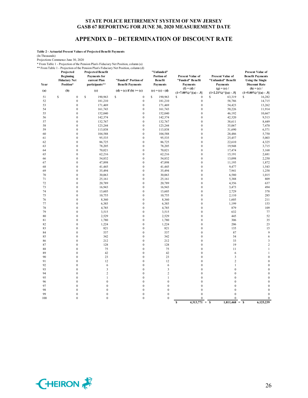## **APPENDIX D – DETERMINATION OF DISCOUNT RATE**

**Table 2 - Actuarial Present Values of Projected Benefit Payments**

(In Thousands)

Projections Commence June 30, 2020

\* From Table 1 - Projection of the Pension Plan's Fiduciary Net Position, column (a)

\*\* From Table 1 - Projection of the Pension Plan's Fiduciary Net Position, column (d) **Projected Projected Benefit** 

| 1.01111001011<br>Year | تەرىبىد<br>Projected<br><b>Beginning</b><br><b>Fiduciary Net</b><br>Position* | <b>Projected Benefit</b><br><b>Payments</b> for<br>current Plan<br>participants** | $\alpha$ and $\alpha$ and $\alpha$ and $\alpha$ and $\alpha$ and $\alpha$ and $\alpha$ and $\alpha$ and $\alpha$ and $\alpha$ and $\alpha$ and $\alpha$ and $\alpha$ and $\alpha$ and $\alpha$ and $\alpha$ and $\alpha$ and $\alpha$ and $\alpha$ and $\alpha$ and $\alpha$ and $\alpha$ and $\alpha$ and $\alpha$ and $\alpha$<br>"Funded" Portion of<br><b>Benefit Payments</b> | "Unfunded"<br>Portion of<br><b>Benefit</b><br>Payments | <b>Present Value of</b><br>"Funded" Benefit<br><b>Payments</b> | <b>Present Value of</b><br>"Unfunded" Benefit<br><b>Payments</b> | <b>Present Value of</b><br><b>Benefit Payments</b><br><b>Using the Single</b><br><b>Discount Rate</b> |
|-----------------------|-------------------------------------------------------------------------------|-----------------------------------------------------------------------------------|------------------------------------------------------------------------------------------------------------------------------------------------------------------------------------------------------------------------------------------------------------------------------------------------------------------------------------------------------------------------------------|--------------------------------------------------------|----------------------------------------------------------------|------------------------------------------------------------------|-------------------------------------------------------------------------------------------------------|
| (a)                   | (b)                                                                           | (c)                                                                               | $(d) = (c)$ if $(b) \ge (c)$                                                                                                                                                                                                                                                                                                                                                       | $(e) = (c) - (d)$                                      | $(f) = (d) /$<br>$(1+7.00\%)$ <sup>^</sup> [(a) - .5]          | $(g) = (e) /$<br>$(1+2.21\%)$ $\cap$ $[(a) - .5]$                | $(h) = (c) /$<br>$(1+5.00\%)$ <sup>^</sup> [(a) - .5]                                                 |
| 51                    | \$<br>$\boldsymbol{0}$                                                        | $\mathbb{S}$<br>190,963                                                           | \$<br>$\boldsymbol{0}$                                                                                                                                                                                                                                                                                                                                                             | \$<br>190,963                                          | \$<br>$\boldsymbol{0}$                                         | S<br>63,319                                                      | S<br>16,282                                                                                           |
| 52                    | $\boldsymbol{0}$                                                              | 181,210                                                                           | $\boldsymbol{0}$                                                                                                                                                                                                                                                                                                                                                                   | 181,210                                                | $\boldsymbol{0}$                                               | 58,786                                                           | 14,715                                                                                                |
| 53                    | $\boldsymbol{0}$                                                              | 171,469                                                                           | $\boldsymbol{0}$                                                                                                                                                                                                                                                                                                                                                                   | 171,469                                                | $\boldsymbol{0}$                                               | 54,423                                                           | 13,262                                                                                                |
| 54                    | $\mathbf{0}$                                                                  | 161,743                                                                           | $\boldsymbol{0}$                                                                                                                                                                                                                                                                                                                                                                   | 161,743                                                | $\boldsymbol{0}$                                               | 50,226                                                           | 11,914                                                                                                |
| 55                    | $\mathbf{0}$                                                                  | 152,040                                                                           | $\boldsymbol{0}$                                                                                                                                                                                                                                                                                                                                                                   | 152,040                                                | $\boldsymbol{0}$                                               | 46,192                                                           | 10,667                                                                                                |
| 56                    | $\mathbf{0}$                                                                  | 142,374                                                                           | $\boldsymbol{0}$                                                                                                                                                                                                                                                                                                                                                                   | 142,374                                                | $\boldsymbol{0}$                                               | 42,320                                                           | 9,513                                                                                                 |
| 57                    | $\mathbf{0}$                                                                  | 132,767                                                                           | $\boldsymbol{0}$                                                                                                                                                                                                                                                                                                                                                                   | 132,767                                                | $\boldsymbol{0}$                                               | 38,611                                                           | 8,449                                                                                                 |
| 58                    | $\mathbf{0}$                                                                  | 123,244                                                                           | $\boldsymbol{0}$                                                                                                                                                                                                                                                                                                                                                                   | 123,244                                                | $\boldsymbol{0}$                                               | 35,067                                                           | 7,470                                                                                                 |
| 59                    | $\overline{0}$                                                                | 113,838                                                                           | $\mathbf{0}$                                                                                                                                                                                                                                                                                                                                                                       | 113,838                                                | $\mathbf{0}$                                                   | 31,690                                                           | 6,571                                                                                                 |
| 60                    | $\mathbf{0}$                                                                  | 104,588                                                                           | $\boldsymbol{0}$                                                                                                                                                                                                                                                                                                                                                                   | 104,588                                                | $\boldsymbol{0}$                                               | 28,486                                                           | 5,750                                                                                                 |
| 61                    | $\mathbf{0}$                                                                  | 95,535                                                                            | $\boldsymbol{0}$                                                                                                                                                                                                                                                                                                                                                                   | 95,535                                                 | $\boldsymbol{0}$                                               | 25,457                                                           | 5,003                                                                                                 |
| 62                    | $\mathbf{0}$                                                                  | 86,725                                                                            | $\boldsymbol{0}$                                                                                                                                                                                                                                                                                                                                                                   | 86,725                                                 | $\mathbf 0$                                                    | 22,610                                                           | 4,325                                                                                                 |
| 63                    | $\mathbf{0}$                                                                  | 78,205                                                                            | $\boldsymbol{0}$                                                                                                                                                                                                                                                                                                                                                                   | 78,205                                                 | $\boldsymbol{0}$                                               | 19,948                                                           | 3,715                                                                                                 |
| 64                    | $\mathbf{0}$                                                                  | 70,021                                                                            | $\boldsymbol{0}$                                                                                                                                                                                                                                                                                                                                                                   | 70,021                                                 | $\boldsymbol{0}$                                               | 17,474                                                           | 3,168                                                                                                 |
| 65                    | $\boldsymbol{0}$                                                              | 62,216                                                                            | $\boldsymbol{0}$                                                                                                                                                                                                                                                                                                                                                                   | 62,216                                                 | $\boldsymbol{0}$                                               | 15,191                                                           | 2,681                                                                                                 |
| 66                    | $\overline{0}$                                                                | 54,832                                                                            | $\mathbf{0}$                                                                                                                                                                                                                                                                                                                                                                       | 54,832                                                 | $\mathbf{0}$                                                   | 13,098                                                           | 2,250                                                                                                 |
| 67                    | $\mathbf{0}$                                                                  | 47,898                                                                            | $\boldsymbol{0}$                                                                                                                                                                                                                                                                                                                                                                   | 47,898                                                 | $\boldsymbol{0}$                                               | 11,195                                                           | 1,872                                                                                                 |
| 68                    | $\mathbf{0}$                                                                  | 41,445                                                                            | $\boldsymbol{0}$                                                                                                                                                                                                                                                                                                                                                                   | 41,445                                                 | $\boldsymbol{0}$                                               | 9,477                                                            | 1,543                                                                                                 |
| 69                    | $\mathbf{0}$                                                                  | 35,494                                                                            | $\boldsymbol{0}$                                                                                                                                                                                                                                                                                                                                                                   | 35,494                                                 | $\boldsymbol{0}$                                               | 7,941                                                            | 1,258                                                                                                 |
| $70\,$                | $\mathbf{0}$                                                                  | 30,063                                                                            | $\boldsymbol{0}$                                                                                                                                                                                                                                                                                                                                                                   | 30,063                                                 | $\boldsymbol{0}$                                               | 6,580                                                            | 1,015                                                                                                 |
| 71                    | $\mathbf{0}$                                                                  | 25,161                                                                            | $\boldsymbol{0}$                                                                                                                                                                                                                                                                                                                                                                   | 25,161                                                 | $\boldsymbol{0}$                                               | 5,388                                                            | 809                                                                                                   |
| 72                    | $\mathbf{0}$                                                                  | 20,789                                                                            | $\boldsymbol{0}$                                                                                                                                                                                                                                                                                                                                                                   | 20,789                                                 | $\boldsymbol{0}$                                               | 4,356                                                            | 637                                                                                                   |
| 73                    | $\mathbf{0}$                                                                  | 16,943                                                                            | $\boldsymbol{0}$                                                                                                                                                                                                                                                                                                                                                                   | 16,943                                                 | $\mathbf{0}$                                                   | 3,473                                                            | 494                                                                                                   |
| 74                    | $\mathbf{0}$                                                                  | 13,605                                                                            | $\boldsymbol{0}$                                                                                                                                                                                                                                                                                                                                                                   | 13,605                                                 | $\boldsymbol{0}$                                               | 2,729                                                            | 378                                                                                                   |
| 75                    | $\mathbf{0}$                                                                  | 10,755                                                                            | $\boldsymbol{0}$                                                                                                                                                                                                                                                                                                                                                                   | 10,755                                                 | $\boldsymbol{0}$                                               | 2,110                                                            | 285                                                                                                   |
| 76                    | $\mathbf{0}$                                                                  | 8,360                                                                             | $\boldsymbol{0}$                                                                                                                                                                                                                                                                                                                                                                   | 8,360                                                  | $\boldsymbol{0}$                                               | 1,605                                                            | 211                                                                                                   |
| 77                    | $\mathbf{0}$                                                                  | 6,385                                                                             | $\boldsymbol{0}$                                                                                                                                                                                                                                                                                                                                                                   | 6,385                                                  | $\boldsymbol{0}$                                               | 1,199                                                            | 153                                                                                                   |
| 78                    | $\mathbf{0}$                                                                  | 4,785                                                                             | $\boldsymbol{0}$                                                                                                                                                                                                                                                                                                                                                                   | 4,785                                                  | $\boldsymbol{0}$                                               | 879                                                              | 109                                                                                                   |
| 79                    | $\mathbf{0}$<br>$\overline{0}$                                                | 3,515                                                                             | $\boldsymbol{0}$<br>$\mathbf{0}$                                                                                                                                                                                                                                                                                                                                                   | 3,515                                                  | $\boldsymbol{0}$<br>$\mathbf{0}$                               | 632<br>445                                                       | 77<br>52                                                                                              |
| 80                    |                                                                               | 2,529                                                                             |                                                                                                                                                                                                                                                                                                                                                                                    | 2,529                                                  |                                                                |                                                                  |                                                                                                       |
| 81<br>82              | $\mathbf{0}$<br>$\mathbf{0}$                                                  | 1,780<br>1,224                                                                    | $\boldsymbol{0}$<br>$\boldsymbol{0}$                                                                                                                                                                                                                                                                                                                                               | 1,780<br>1,224                                         | $\boldsymbol{0}$<br>$\boldsymbol{0}$                           | 306<br>206                                                       | 35<br>23                                                                                              |
| 83                    | $\mathbf{0}$                                                                  | 821                                                                               | $\boldsymbol{0}$                                                                                                                                                                                                                                                                                                                                                                   | 821                                                    | $\boldsymbol{0}$                                               | 135                                                              | 15                                                                                                    |
| 84                    | $\mathbf{0}$                                                                  | 537                                                                               | $\boldsymbol{0}$                                                                                                                                                                                                                                                                                                                                                                   | 537                                                    | $\boldsymbol{0}$                                               | 87                                                               | 9                                                                                                     |
| 85                    | $\mathbf{0}$                                                                  | 342                                                                               | $\boldsymbol{0}$                                                                                                                                                                                                                                                                                                                                                                   | 342                                                    | $\boldsymbol{0}$                                               | 54                                                               | 6                                                                                                     |
| 86                    | $\mathbf{0}$                                                                  | 212                                                                               | $\boldsymbol{0}$                                                                                                                                                                                                                                                                                                                                                                   | 212                                                    | $\boldsymbol{0}$                                               | 33                                                               | 3                                                                                                     |
| 87                    | $\overline{0}$                                                                | 128                                                                               | $\boldsymbol{0}$                                                                                                                                                                                                                                                                                                                                                                   | 128                                                    | $\mathbf{0}$                                                   | 19                                                               | $\overline{2}$                                                                                        |
| 88                    | $\overline{0}$                                                                | 75                                                                                | $\boldsymbol{0}$                                                                                                                                                                                                                                                                                                                                                                   | 75                                                     | $\boldsymbol{0}$                                               | 11                                                               | $\mathbf{1}$                                                                                          |
| 89                    | $\mathbf{0}$                                                                  | 42                                                                                | $\boldsymbol{0}$                                                                                                                                                                                                                                                                                                                                                                   | 42                                                     | $\mathbf{0}$                                                   | 6                                                                | $\mathbf{1}$                                                                                          |
| 90                    | $\mathbf{0}$                                                                  | 23                                                                                | $\boldsymbol{0}$                                                                                                                                                                                                                                                                                                                                                                   | 23                                                     | $\boldsymbol{0}$                                               | 3                                                                | $\theta$                                                                                              |
| 91                    | $\mathbf{0}$                                                                  | 12                                                                                | $\boldsymbol{0}$                                                                                                                                                                                                                                                                                                                                                                   | 12                                                     | $\boldsymbol{0}$                                               | $\sqrt{2}$                                                       | $\mathbf{0}$                                                                                          |
| 92                    | $\mathbf{0}$                                                                  | 6                                                                                 | $\boldsymbol{0}$                                                                                                                                                                                                                                                                                                                                                                   | 6                                                      | $\boldsymbol{0}$                                               | $\mathbf{1}$                                                     | $\mathbf{0}$                                                                                          |
| 93                    | $\mathbf{0}$                                                                  | $\mathfrak{Z}$                                                                    | $\boldsymbol{0}$                                                                                                                                                                                                                                                                                                                                                                   | $\mathbf{3}$                                           | $\boldsymbol{0}$                                               | $\bf{0}$                                                         | $\overline{0}$                                                                                        |
| 94                    | $\mathbf{0}$                                                                  | $\overline{c}$                                                                    | $\boldsymbol{0}$                                                                                                                                                                                                                                                                                                                                                                   | $\overline{2}$                                         | $\mathbf{0}$                                                   | $\mathbf{0}$                                                     | $\theta$                                                                                              |
| 95                    | $\mathbf{0}$                                                                  | $\mathbf{1}$                                                                      | $\boldsymbol{0}$                                                                                                                                                                                                                                                                                                                                                                   | $\mathbf{1}$                                           | $\mathbf{0}$                                                   | $\mathbf{0}$                                                     | $\theta$                                                                                              |
| 96                    | $\overline{0}$                                                                | $\boldsymbol{0}$                                                                  | $\boldsymbol{0}$                                                                                                                                                                                                                                                                                                                                                                   | $\boldsymbol{0}$                                       | $\boldsymbol{0}$                                               | $\boldsymbol{0}$                                                 | $\overline{0}$                                                                                        |
| 97                    | $\mathbf{0}$                                                                  | $\mathbf 0$                                                                       | $\boldsymbol{0}$                                                                                                                                                                                                                                                                                                                                                                   | $\boldsymbol{0}$                                       | $\boldsymbol{0}$                                               | $\mathbf{0}$                                                     | $\mathbf{0}$                                                                                          |
| 98                    | $\mathbf{0}$                                                                  | $\boldsymbol{0}$                                                                  | $\boldsymbol{0}$                                                                                                                                                                                                                                                                                                                                                                   | $\boldsymbol{0}$                                       | $\boldsymbol{0}$                                               | $\mathbf{0}$                                                     | $\theta$                                                                                              |
| 99                    | $\mathbf{0}$                                                                  | $\boldsymbol{0}$                                                                  | $\boldsymbol{0}$                                                                                                                                                                                                                                                                                                                                                                   | $\boldsymbol{0}$                                       | $\boldsymbol{0}$                                               | $\boldsymbol{0}$                                                 | $\mathbf{0}$                                                                                          |
| 100                   | $\boldsymbol{0}$                                                              | $\boldsymbol{0}$                                                                  | $\boldsymbol{0}$                                                                                                                                                                                                                                                                                                                                                                   | $\boldsymbol{0}$                                       | $\boldsymbol{0}$                                               | $\boldsymbol{0}$                                                 | $\boldsymbol{0}$                                                                                      |
|                       |                                                                               |                                                                                   |                                                                                                                                                                                                                                                                                                                                                                                    |                                                        | $4,313,771 + S$<br>\$                                          | $1,811,468 = S$                                                  | 6,125,239                                                                                             |

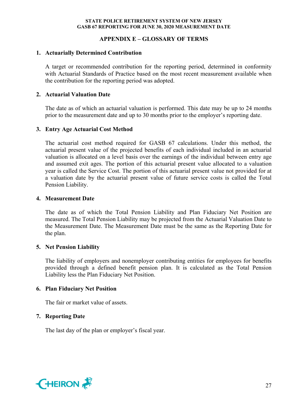## **APPENDIX E – GLOSSARY OF TERMS**

## **1. Actuarially Determined Contribution**

A target or recommended contribution for the reporting period, determined in conformity with Actuarial Standards of Practice based on the most recent measurement available when the contribution for the reporting period was adopted.

## **2. Actuarial Valuation Date**

The date as of which an actuarial valuation is performed. This date may be up to 24 months prior to the measurement date and up to 30 months prior to the employer's reporting date.

## **3. Entry Age Actuarial Cost Method**

The actuarial cost method required for GASB 67 calculations. Under this method, the actuarial present value of the projected benefits of each individual included in an actuarial valuation is allocated on a level basis over the earnings of the individual between entry age and assumed exit ages. The portion of this actuarial present value allocated to a valuation year is called the Service Cost. The portion of this actuarial present value not provided for at a valuation date by the actuarial present value of future service costs is called the Total Pension Liability.

## **4. Measurement Date**

The date as of which the Total Pension Liability and Plan Fiduciary Net Position are measured. The Total Pension Liability may be projected from the Actuarial Valuation Date to the Measurement Date. The Measurement Date must be the same as the Reporting Date for the plan.

## **5. Net Pension Liability**

The liability of employers and nonemployer contributing entities for employees for benefits provided through a defined benefit pension plan. It is calculated as the Total Pension Liability less the Plan Fiduciary Net Position.

# **6. Plan Fiduciary Net Position**

The fair or market value of assets.

# **7. Reporting Date**

The last day of the plan or employer's fiscal year.